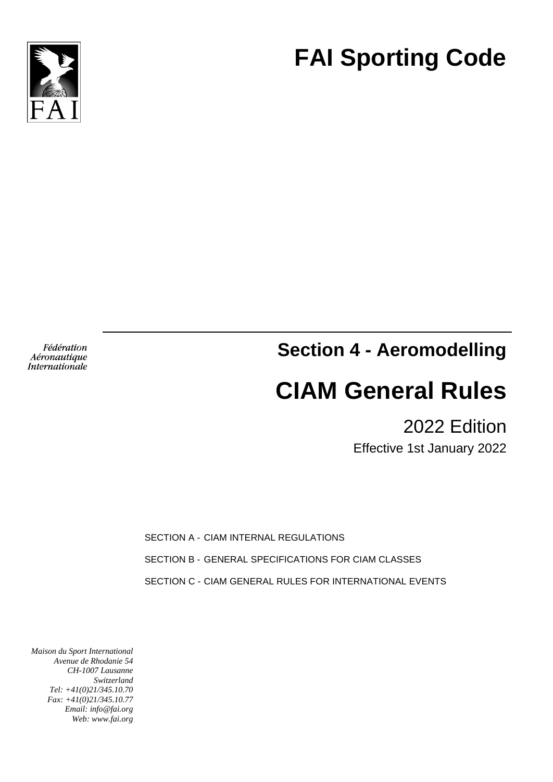

**FAI Sporting Code**

Fédération Aéronautique Internationale **Section 4 - Aeromodelling**

# **CIAM General Rules**

2022 Edition

Effective 1st January 2022

SECTION A - CIAM INTERNAL REGULATIONS

SECTION B - GENERAL SPECIFICATIONS FOR CIAM CLASSES

SECTION C - CIAM GENERAL RULES FOR INTERNATIONAL EVENTS

*Maison du Sport International Avenue de Rhodanie 54 CH-1007 Lausanne Switzerland Tel: +41(0)21/345.10.70 Fax: +41(0)21/345.10.77 Email: info@fai.org Web: www.fai.org*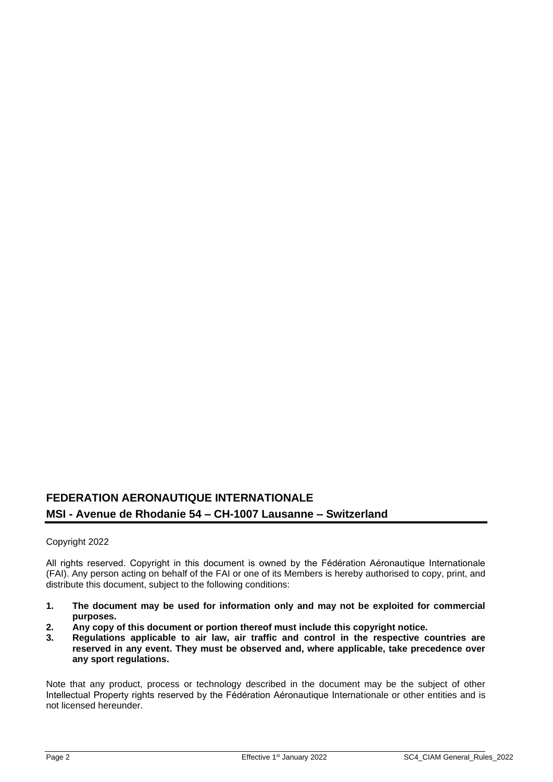## **FEDERATION AERONAUTIQUE INTERNATIONALE MSI - Avenue de Rhodanie 54 – CH-1007 Lausanne – Switzerland**

## Copyright 2022

All rights reserved. Copyright in this document is owned by the Fédération Aéronautique Internationale (FAI). Any person acting on behalf of the FAI or one of its Members is hereby authorised to copy, print, and distribute this document, subject to the following conditions:

- **1. The document may be used for information only and may not be exploited for commercial purposes.**
- **2. Any copy of this document or portion thereof must include this copyright notice.**
- **3. Regulations applicable to air law, air traffic and control in the respective countries are reserved in any event. They must be observed and, where applicable, take precedence over any sport regulations.**

Note that any product, process or technology described in the document may be the subject of other Intellectual Property rights reserved by the Fédération Aéronautique Internationale or other entities and is not licensed hereunder.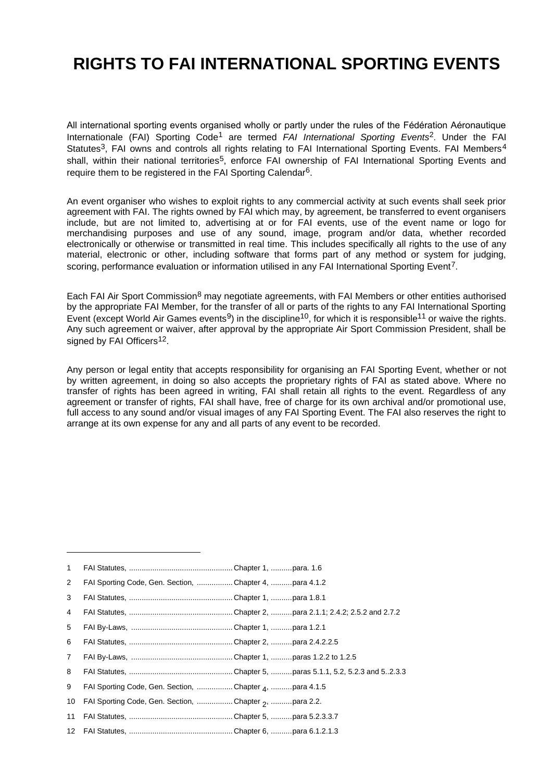# **RIGHTS TO FAI INTERNATIONAL SPORTING EVENTS**

All international sporting events organised wholly or partly under the rules of the Fédération Aéronautique Internationale (FAI) Sporting Code1 are termed *FAI International Sporting Events*2. Under the FAI Statutes<sup>3</sup>, FAI owns and controls all rights relating to FAI International Sporting Events. FAI Members<sup>4</sup> shall, within their national territories<sup>5</sup>, enforce FAI ownership of FAI International Sporting Events and require them to be registered in the FAI Sporting Calendar<sup>6</sup>.

An event organiser who wishes to exploit rights to any commercial activity at such events shall seek prior agreement with FAI. The rights owned by FAI which may, by agreement, be transferred to event organisers include, but are not limited to, advertising at or for FAI events, use of the event name or logo for merchandising purposes and use of any sound, image, program and/or data, whether recorded electronically or otherwise or transmitted in real time. This includes specifically all rights to the use of any material, electronic or other, including software that forms part of any method or system for judging, scoring, performance evaluation or information utilised in any FAI International Sporting Event<sup>7</sup>.

Each FAI Air Sport Commission<sup>8</sup> may negotiate agreements, with FAI Members or other entities authorised by the appropriate FAI Member, for the transfer of all or parts of the rights to any FAI International Sporting Event (except World Air Games events<sup>9</sup>) in the discipline<sup>10</sup>, for which it is responsible<sup>11</sup> or waive the rights. Any such agreement or waiver, after approval by the appropriate Air Sport Commission President, shall be signed by FAI Officers<sup>12</sup>.

Any person or legal entity that accepts responsibility for organising an FAI Sporting Event, whether or not by written agreement, in doing so also accepts the proprietary rights of FAI as stated above. Where no transfer of rights has been agreed in writing, FAI shall retain all rights to the event. Regardless of any agreement or transfer of rights, FAI shall have, free of charge for its own archival and/or promotional use, full access to any sound and/or visual images of any FAI Sporting Event. The FAI also reserves the right to arrange at its own expense for any and all parts of any event to be recorded.

| $\mathbf{1}$   |                                                        |  |
|----------------|--------------------------------------------------------|--|
| $\overline{2}$ | FAI Sporting Code, Gen. Section, Chapter 4, para 4.1.2 |  |
| 3              |                                                        |  |
| 4              |                                                        |  |
| 5              |                                                        |  |
| 6              |                                                        |  |
| $\overline{7}$ |                                                        |  |
| 8              |                                                        |  |
| 9              | FAI Sporting Code, Gen. Section, Chapter 4, para 4.1.5 |  |
| 10             | FAI Sporting Code, Gen. Section, Chapter 2, para 2.2.  |  |
| 11             |                                                        |  |
|                |                                                        |  |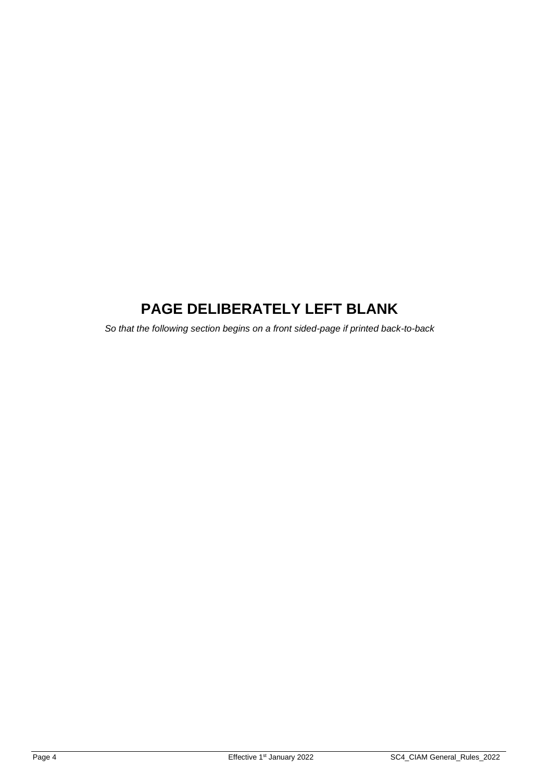# **PAGE DELIBERATELY LEFT BLANK**

*So that the following section begins on a front sided-page if printed back-to-back*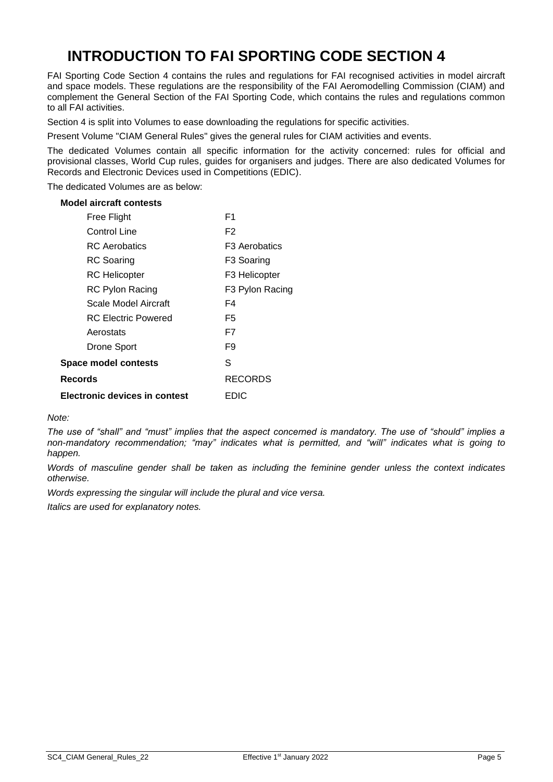# **INTRODUCTION TO FAI SPORTING CODE SECTION 4**

FAI Sporting Code Section 4 contains the rules and regulations for FAI recognised activities in model aircraft and space models. These regulations are the responsibility of the FAI Aeromodelling Commission (CIAM) and complement the General Section of the FAI Sporting Code, which contains the rules and regulations common to all FAI activities.

Section 4 is split into Volumes to ease downloading the regulations for specific activities.

Present Volume "CIAM General Rules" gives the general rules for CIAM activities and events.

The dedicated Volumes contain all specific information for the activity concerned: rules for official and provisional classes, World Cup rules, guides for organisers and judges. There are also dedicated Volumes for Records and Electronic Devices used in Competitions (EDIC).

The dedicated Volumes are as below:

#### **Model aircraft contests**

| Free Flight                   | F1                     |
|-------------------------------|------------------------|
| Control Line                  | F2                     |
| <b>RC</b> Aerobatics          | F3 Aerobatics          |
| <b>RC</b> Soaring             | F <sub>3</sub> Soaring |
| <b>RC</b> Helicopter          | F3 Helicopter          |
| <b>RC Pylon Racing</b>        | F3 Pylon Racing        |
| Scale Model Aircraft          | F4                     |
| <b>RC Electric Powered</b>    | F5                     |
| Aerostats                     | F7                     |
| Drone Sport                   | F9                     |
| Space model contests          | S                      |
| Records                       | RECORDS                |
| Electronic devices in contest | EDIC                   |

*Note:*

*The use of "shall" and "must" implies that the aspect concerned is mandatory. The use of "should" implies a non-mandatory recommendation; "may" indicates what is permitted, and "will" indicates what is going to happen.*

*Words of masculine gender shall be taken as including the feminine gender unless the context indicates otherwise.*

*Words expressing the singular will include the plural and vice versa.*

*Italics are used for explanatory notes.*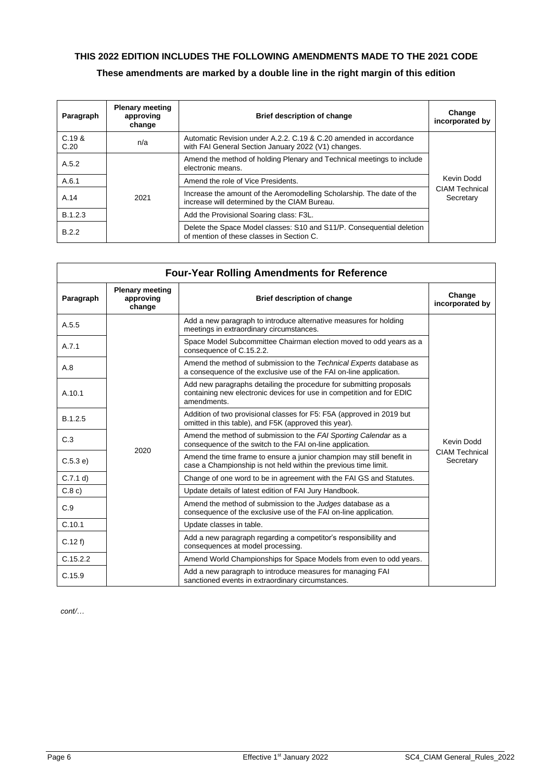## **THIS 2022 EDITION INCLUDES THE FOLLOWING AMENDMENTS MADE TO THE 2021 CODE These amendments are marked by a double line in the right margin of this edition**

| Paragraph      | <b>Plenary meeting</b><br>approving<br>change | <b>Brief description of change</b>                                                                                       | Change<br>incorporated by          |
|----------------|-----------------------------------------------|--------------------------------------------------------------------------------------------------------------------------|------------------------------------|
| C.19 &<br>C.20 | n/a                                           | Automatic Revision under A.2.2, C.19 & C.20 amended in accordance<br>with FAI General Section January 2022 (V1) changes. |                                    |
| A.5.2          |                                               | Amend the method of holding Plenary and Technical meetings to include<br>electronic means.                               |                                    |
| A.6.1          |                                               | Amend the role of Vice Presidents.                                                                                       | Kevin Dodd                         |
| A.14           | 2021                                          | Increase the amount of the Aeromodelling Scholarship. The date of the<br>increase will determined by the CIAM Bureau.    | <b>CIAM Technical</b><br>Secretary |
| B.1.2.3        |                                               | Add the Provisional Soaring class: F3L.                                                                                  |                                    |
| B.2.2          |                                               | Delete the Space Model classes: S10 and S11/P. Consequential deletion<br>of mention of these classes in Section C.       |                                    |

| <b>Four-Year Rolling Amendments for Reference</b> |                                               |                                                                                                                                                             |                                    |  |
|---------------------------------------------------|-----------------------------------------------|-------------------------------------------------------------------------------------------------------------------------------------------------------------|------------------------------------|--|
| Paragraph                                         | <b>Plenary meeting</b><br>approving<br>change | <b>Brief description of change</b>                                                                                                                          | Change<br>incorporated by          |  |
| A.5.5                                             |                                               | Add a new paragraph to introduce alternative measures for holding<br>meetings in extraordinary circumstances.                                               |                                    |  |
| A.7.1                                             |                                               | Space Model Subcommittee Chairman election moved to odd years as a<br>consequence of C.15.2.2.                                                              |                                    |  |
| A.8                                               |                                               | Amend the method of submission to the Technical Experts database as<br>a consequence of the exclusive use of the FAI on-line application.                   |                                    |  |
| A.10.1                                            |                                               | Add new paragraphs detailing the procedure for submitting proposals<br>containing new electronic devices for use in competition and for EDIC<br>amendments. |                                    |  |
| B.1.2.5                                           |                                               | Addition of two provisional classes for F5: F5A (approved in 2019 but<br>omitted in this table), and F5K (approved this year).                              |                                    |  |
| C.3                                               |                                               | Amend the method of submission to the FAI Sporting Calendar as a<br>consequence of the switch to the FAI on-line application.                               | Kevin Dodd                         |  |
| C.5.3 e)                                          | 2020                                          | Amend the time frame to ensure a junior champion may still benefit in<br>case a Championship is not held within the previous time limit.                    | <b>CIAM Technical</b><br>Secretary |  |
| C.7.1 d)                                          |                                               | Change of one word to be in agreement with the FAI GS and Statutes.                                                                                         |                                    |  |
| C.8c)                                             |                                               | Update details of latest edition of FAI Jury Handbook.                                                                                                      |                                    |  |
| C.9                                               |                                               | Amend the method of submission to the <i>Judges</i> database as a<br>consequence of the exclusive use of the FAI on-line application.                       |                                    |  |
| C.10.1                                            |                                               | Update classes in table.                                                                                                                                    |                                    |  |
| C.12 f                                            |                                               | Add a new paragraph regarding a competitor's responsibility and<br>consequences at model processing.                                                        |                                    |  |
| C.15.2.2                                          |                                               | Amend World Championships for Space Models from even to odd years.                                                                                          |                                    |  |
| C.15.9                                            |                                               | Add a new paragraph to introduce measures for managing FAI<br>sanctioned events in extraordinary circumstances.                                             |                                    |  |

*cont/…*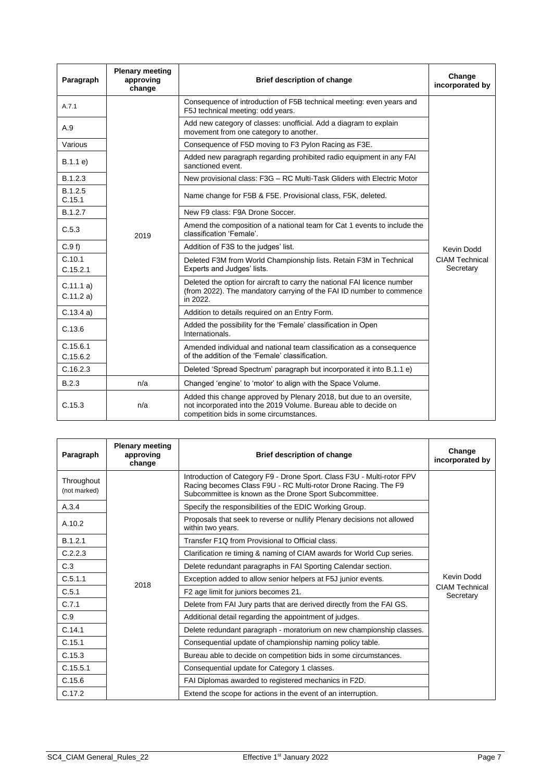| Paragraph             | <b>Plenary meeting</b><br>approving<br>change | <b>Brief description of change</b>                                                                                                                                                | Change<br>incorporated by          |
|-----------------------|-----------------------------------------------|-----------------------------------------------------------------------------------------------------------------------------------------------------------------------------------|------------------------------------|
| A.7.1                 |                                               | Consequence of introduction of F5B technical meeting: even years and<br>F5J technical meeting: odd years.                                                                         |                                    |
| A.9                   |                                               | Add new category of classes: unofficial. Add a diagram to explain<br>movement from one category to another.                                                                       |                                    |
| Various               |                                               | Consequence of F5D moving to F3 Pylon Racing as F3E.                                                                                                                              |                                    |
| B.1.1 e)              |                                               | Added new paragraph regarding prohibited radio equipment in any FAI<br>sanctioned event.                                                                                          |                                    |
| B.1.2.3               |                                               | New provisional class: F3G - RC Multi-Task Gliders with Electric Motor                                                                                                            |                                    |
| B.1.2.5<br>C.15.1     |                                               | Name change for F5B & F5E. Provisional class, F5K, deleted.                                                                                                                       |                                    |
| B.1.2.7               |                                               | New F9 class: F9A Drone Soccer.                                                                                                                                                   |                                    |
| C.5.3                 | 2019                                          | Amend the composition of a national team for Cat 1 events to include the<br>classification 'Female'.                                                                              |                                    |
| C.9f                  |                                               | Addition of F3S to the judges' list.                                                                                                                                              | Kevin Dodd                         |
| C.10.1<br>C.15.2.1    |                                               | Deleted F3M from World Championship lists. Retain F3M in Technical<br>Experts and Judges' lists.                                                                                  | <b>CIAM Technical</b><br>Secretary |
| C.11.1 a)<br>C.11.2a) |                                               | Deleted the option for aircraft to carry the national FAI licence number<br>(from 2022). The mandatory carrying of the FAI ID number to commence<br>in 2022.                      |                                    |
| C.13.4a)              |                                               | Addition to details required on an Entry Form.                                                                                                                                    |                                    |
| C.13.6                |                                               | Added the possibility for the 'Female' classification in Open<br>Internationals.                                                                                                  |                                    |
| C.15.6.1<br>C.15.6.2  |                                               | Amended individual and national team classification as a consequence<br>of the addition of the 'Female' classification.                                                           |                                    |
| C.16.2.3              |                                               | Deleted 'Spread Spectrum' paragraph but incorporated it into B.1.1 e)                                                                                                             |                                    |
| B.2.3                 | n/a                                           | Changed 'engine' to 'motor' to align with the Space Volume.                                                                                                                       |                                    |
| C.15.3                | n/a                                           | Added this change approved by Plenary 2018, but due to an oversite,<br>not incorporated into the 2019 Volume. Bureau able to decide on<br>competition bids in some circumstances. |                                    |

| Paragraph                  | <b>Plenary meeting</b><br>approving<br>change | <b>Brief description of change</b>                                                                                                                                                                 | Change<br>incorporated by          |
|----------------------------|-----------------------------------------------|----------------------------------------------------------------------------------------------------------------------------------------------------------------------------------------------------|------------------------------------|
| Throughout<br>(not marked) |                                               | Introduction of Category F9 - Drone Sport. Class F3U - Multi-rotor FPV<br>Racing becomes Class F9U - RC Multi-rotor Drone Racing. The F9<br>Subcommittee is known as the Drone Sport Subcommittee. |                                    |
| A.3.4                      |                                               | Specify the responsibilities of the EDIC Working Group.                                                                                                                                            |                                    |
| A.10.2                     |                                               | Proposals that seek to reverse or nullify Plenary decisions not allowed<br>within two years.                                                                                                       |                                    |
| B.1.2.1                    |                                               | Transfer F1Q from Provisional to Official class.                                                                                                                                                   |                                    |
| C.2.2.3                    |                                               | Clarification re timing & naming of CIAM awards for World Cup series.                                                                                                                              |                                    |
| C.3                        |                                               | Delete redundant paragraphs in FAI Sporting Calendar section.                                                                                                                                      |                                    |
| C.5.1.1                    | 2018                                          | Exception added to allow senior helpers at F5J junior events.                                                                                                                                      | Kevin Dodd                         |
| C.5.1                      |                                               | F2 age limit for juniors becomes 21.                                                                                                                                                               | <b>CIAM Technical</b><br>Secretary |
| C.7.1                      |                                               | Delete from FAI Jury parts that are derived directly from the FAI GS.                                                                                                                              |                                    |
| C.9                        |                                               | Additional detail regarding the appointment of judges.                                                                                                                                             |                                    |
| C.14.1                     |                                               | Delete redundant paragraph - moratorium on new championship classes.                                                                                                                               |                                    |
| C.15.1                     |                                               | Consequential update of championship naming policy table.                                                                                                                                          |                                    |
| C.15.3                     |                                               | Bureau able to decide on competition bids in some circumstances.                                                                                                                                   |                                    |
| C.15.5.1                   |                                               | Consequential update for Category 1 classes.                                                                                                                                                       |                                    |
| C.15.6                     |                                               | FAI Diplomas awarded to registered mechanics in F2D.                                                                                                                                               |                                    |
| C.17.2                     |                                               | Extend the scope for actions in the event of an interruption.                                                                                                                                      |                                    |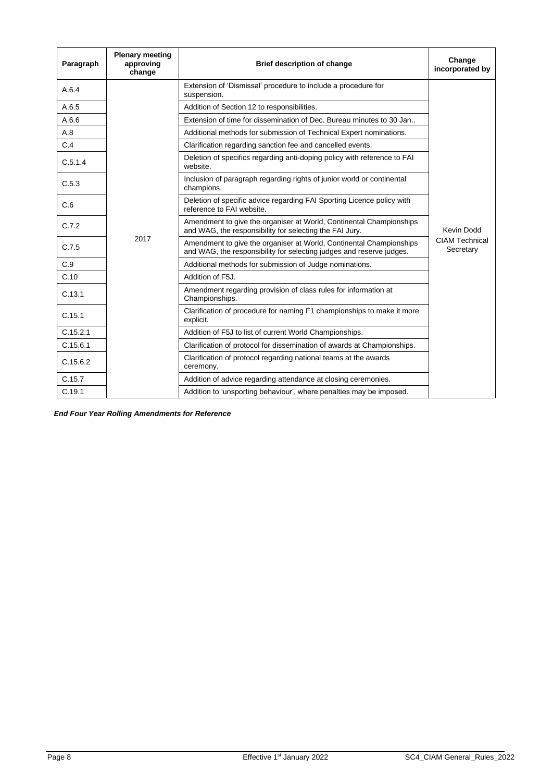| Paragraph | <b>Plenary meeting</b><br>approving<br>change | <b>Brief description of change</b>                                                                                                          | Change<br>incorporated by          |
|-----------|-----------------------------------------------|---------------------------------------------------------------------------------------------------------------------------------------------|------------------------------------|
| A.6.4     |                                               | Extension of 'Dismissal' procedure to include a procedure for<br>suspension.                                                                |                                    |
| A.6.5     |                                               | Addition of Section 12 to responsibilities.                                                                                                 |                                    |
| A.6.6     |                                               | Extension of time for dissemination of Dec. Bureau minutes to 30 Jan                                                                        |                                    |
| A.8       |                                               | Additional methods for submission of Technical Expert nominations.                                                                          |                                    |
| C.4       |                                               | Clarification regarding sanction fee and cancelled events.                                                                                  |                                    |
| C.5.1.4   |                                               | Deletion of specifics regarding anti-doping policy with reference to FAI<br>website.                                                        |                                    |
| C.5.3     |                                               | Inclusion of paragraph regarding rights of junior world or continental<br>champions.                                                        |                                    |
| C.6       |                                               | Deletion of specific advice regarding FAI Sporting Licence policy with<br>reference to FAI website.                                         |                                    |
| C.7.2     | 2017                                          | Amendment to give the organiser at World, Continental Championships<br>and WAG, the responsibility for selecting the FAI Jury.              | Kevin Dodd                         |
| C.7.5     |                                               | Amendment to give the organiser at World, Continental Championships<br>and WAG, the responsibility for selecting judges and reserve judges. | <b>CIAM Technical</b><br>Secretary |
| C.9       |                                               | Additional methods for submission of Judge nominations.                                                                                     |                                    |
| C.10      |                                               | Addition of F5J.                                                                                                                            |                                    |
| C.13.1    |                                               | Amendment regarding provision of class rules for information at<br>Championships.                                                           |                                    |
| C.15.1    |                                               | Clarification of procedure for naming F1 championships to make it more<br>explicit.                                                         |                                    |
| C.15.2.1  |                                               | Addition of F5J to list of current World Championships.                                                                                     |                                    |
| C.15.6.1  |                                               | Clarification of protocol for dissemination of awards at Championships.                                                                     |                                    |
| C.15.6.2  |                                               | Clarification of protocol regarding national teams at the awards<br>ceremony.                                                               |                                    |
| C.15.7    |                                               | Addition of advice regarding attendance at closing ceremonies.                                                                              |                                    |
| C.19.1    |                                               | Addition to 'unsporting behaviour', where penalties may be imposed.                                                                         |                                    |

*End Four Year Rolling Amendments for Reference*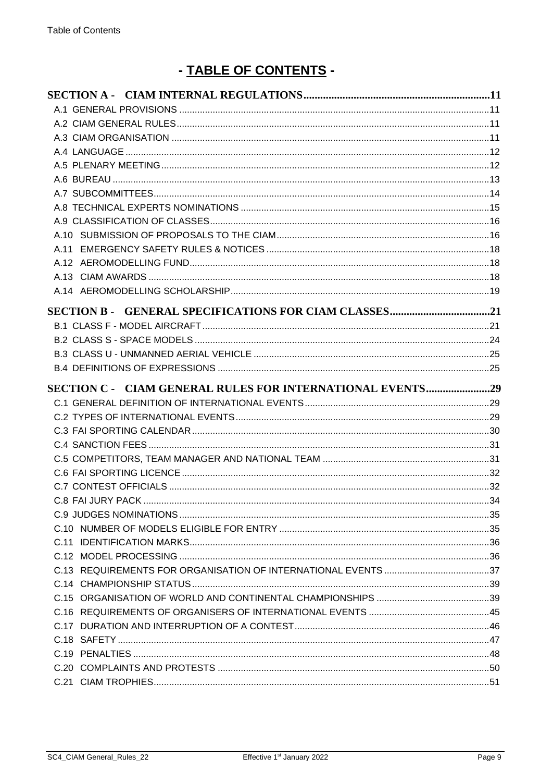# - TABLE OF CONTENTS -

| SECTION C - CIAM GENERAL RULES FOR INTERNATIONAL EVENTS29 |  |
|-----------------------------------------------------------|--|
|                                                           |  |
|                                                           |  |
|                                                           |  |
|                                                           |  |
|                                                           |  |
|                                                           |  |
|                                                           |  |
|                                                           |  |
|                                                           |  |
|                                                           |  |
|                                                           |  |
|                                                           |  |
|                                                           |  |
|                                                           |  |
|                                                           |  |
|                                                           |  |
|                                                           |  |
|                                                           |  |
|                                                           |  |
|                                                           |  |
|                                                           |  |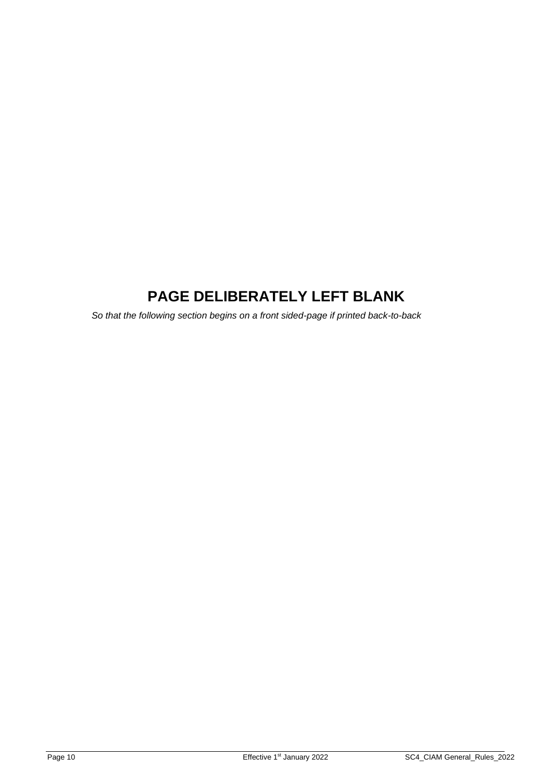# **PAGE DELIBERATELY LEFT BLANK**

*So that the following section begins on a front sided-page if printed back-to-back*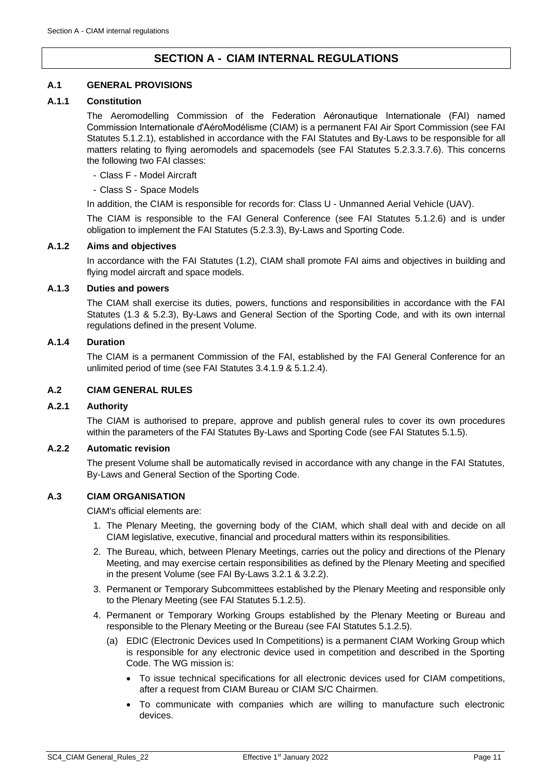## **SECTION A - CIAM INTERNAL REGULATIONS**

## <span id="page-10-1"></span><span id="page-10-0"></span>**A.1 GENERAL PROVISIONS**

## **A.1.1 Constitution**

The Aeromodelling Commission of the Federation Aéronautique Internationale (FAI) named Commission Internationale d'AéroModélisme (CIAM) is a permanent FAI Air Sport Commission (see FAI Statutes 5.1.2.1), established in accordance with the FAI Statutes and By-Laws to be responsible for all matters relating to flying aeromodels and spacemodels (see FAI Statutes 5.2.3.3.7.6). This concerns the following two FAI classes:

- Class F Model Aircraft
- Class S Space Models

In addition, the CIAM is responsible for records for: Class U - Unmanned Aerial Vehicle (UAV).

The CIAM is responsible to the FAI General Conference (see FAI Statutes 5.1.2.6) and is under obligation to implement the FAI Statutes (5.2.3.3), By-Laws and Sporting Code.

#### **A.1.2 Aims and objectives**

In accordance with the FAI Statutes (1.2), CIAM shall promote FAI aims and objectives in building and flying model aircraft and space models.

### **A.1.3 Duties and powers**

The CIAM shall exercise its duties, powers, functions and responsibilities in accordance with the FAI Statutes (1.3 & 5.2.3), By-Laws and General Section of the Sporting Code, and with its own internal regulations defined in the present Volume.

## **A.1.4 Duration**

The CIAM is a permanent Commission of the FAI, established by the FAI General Conference for an unlimited period of time (see FAI Statutes 3.4.1.9 & 5.1.2.4).

## <span id="page-10-2"></span>**A.2 CIAM GENERAL RULES**

#### **A.2.1 Authority**

The CIAM is authorised to prepare, approve and publish general rules to cover its own procedures within the parameters of the FAI Statutes By-Laws and Sporting Code (see FAI Statutes 5.1.5).

#### **A.2.2 Automatic revision**

The present Volume shall be automatically revised in accordance with any change in the FAI Statutes, By-Laws and General Section of the Sporting Code.

## <span id="page-10-3"></span>**A.3 CIAM ORGANISATION**

CIAM's official elements are:

- 1. The Plenary Meeting, the governing body of the CIAM, which shall deal with and decide on all CIAM legislative, executive, financial and procedural matters within its responsibilities.
- 2. The Bureau, which, between Plenary Meetings, carries out the policy and directions of the Plenary Meeting, and may exercise certain responsibilities as defined by the Plenary Meeting and specified in the present Volume (see FAI By-Laws 3.2.1 & 3.2.2).
- 3. Permanent or Temporary Subcommittees established by the Plenary Meeting and responsible only to the Plenary Meeting (see FAI Statutes 5.1.2.5).
- 4. Permanent or Temporary Working Groups established by the Plenary Meeting or Bureau and responsible to the Plenary Meeting or the Bureau (see FAI Statutes 5.1.2.5).
	- (a) EDIC (Electronic Devices used In Competitions) is a permanent CIAM Working Group which is responsible for any electronic device used in competition and described in the Sporting Code. The WG mission is:
		- To issue technical specifications for all electronic devices used for CIAM competitions, after a request from CIAM Bureau or CIAM S/C Chairmen.
		- To communicate with companies which are willing to manufacture such electronic devices.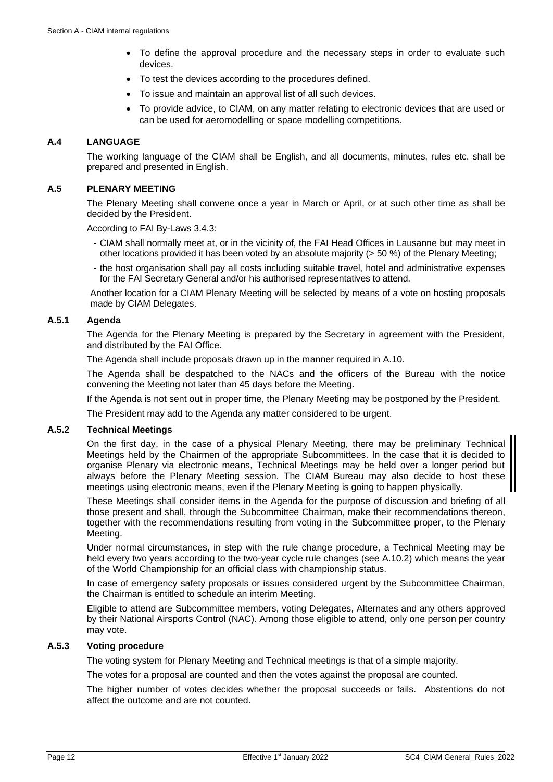- To define the approval procedure and the necessary steps in order to evaluate such devices.
- To test the devices according to the procedures defined.
- To issue and maintain an approval list of all such devices.
- To provide advice, to CIAM, on any matter relating to electronic devices that are used or can be used for aeromodelling or space modelling competitions.

## <span id="page-11-0"></span>**A.4 LANGUAGE**

The working language of the CIAM shall be English, and all documents, minutes, rules etc. shall be prepared and presented in English.

## <span id="page-11-1"></span>**A.5 PLENARY MEETING**

The Plenary Meeting shall convene once a year in March or April, or at such other time as shall be decided by the President.

According to FAI By-Laws 3.4.3:

- CIAM shall normally meet at, or in the vicinity of, the FAI Head Offices in Lausanne but may meet in other locations provided it has been voted by an absolute majority (> 50 %) of the Plenary Meeting;
- the host organisation shall pay all costs including suitable travel, hotel and administrative expenses for the FAI Secretary General and/or his authorised representatives to attend.

Another location for a CIAM Plenary Meeting will be selected by means of a vote on hosting proposals made by CIAM Delegates.

## **A.5.1 Agenda**

The Agenda for the Plenary Meeting is prepared by the Secretary in agreement with the President, and distributed by the FAI Office.

The Agenda shall include proposals drawn up in the manner required in [A.10.](#page-15-1)

The Agenda shall be despatched to the NACs and the officers of the Bureau with the notice convening the Meeting not later than 45 days before the Meeting.

If the Agenda is not sent out in proper time, the Plenary Meeting may be postponed by the President.

The President may add to the Agenda any matter considered to be urgent.

#### **A.5.2 Technical Meetings**

On the first day, in the case of a physical Plenary Meeting, there may be preliminary Technical Meetings held by the Chairmen of the appropriate Subcommittees. In the case that it is decided to organise Plenary via electronic means, Technical Meetings may be held over a longer period but always before the Plenary Meeting session. The CIAM Bureau may also decide to host these meetings using electronic means, even if the Plenary Meeting is going to happen physically.

These Meetings shall consider items in the Agenda for the purpose of discussion and briefing of all those present and shall, through the Subcommittee Chairman, make their recommendations thereon, together with the recommendations resulting from voting in the Subcommittee proper, to the Plenary Meeting.

Under normal circumstances, in step with the rule change procedure, a Technical Meeting may be held every two years according to the two-year cycle rule changes (see [A.10.2\)](#page-16-0) which means the year of the World Championship for an official class with championship status.

In case of emergency safety proposals or issues considered urgent by the Subcommittee Chairman, the Chairman is entitled to schedule an interim Meeting.

Eligible to attend are Subcommittee members, voting Delegates, Alternates and any others approved by their National Airsports Control (NAC). Among those eligible to attend, only one person per country may vote.

#### **A.5.3 Voting procedure**

The voting system for Plenary Meeting and Technical meetings is that of a simple majority.

The votes for a proposal are counted and then the votes against the proposal are counted.

The higher number of votes decides whether the proposal succeeds or fails. Abstentions do not affect the outcome and are not counted.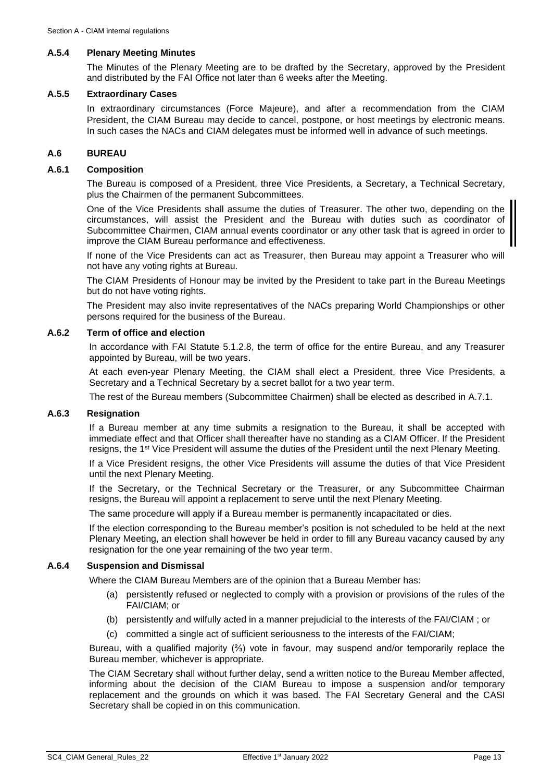#### **A.5.4 Plenary Meeting Minutes**

The Minutes of the Plenary Meeting are to be drafted by the Secretary, approved by the President and distributed by the FAI Office not later than 6 weeks after the Meeting.

#### **A.5.5 Extraordinary Cases**

In extraordinary circumstances (Force Majeure), and after a recommendation from the CIAM President, the CIAM Bureau may decide to cancel, postpone, or host meetings by electronic means. In such cases the NACs and CIAM delegates must be informed well in advance of such meetings.

#### <span id="page-12-0"></span>**A.6 BUREAU**

#### **A.6.1 Composition**

The Bureau is composed of a President, three Vice Presidents, a Secretary, a Technical Secretary, plus the Chairmen of the permanent Subcommittees.

One of the Vice Presidents shall assume the duties of Treasurer. The other two, depending on the circumstances, will assist the President and the Bureau with duties such as coordinator of Subcommittee Chairmen, CIAM annual events coordinator or any other task that is agreed in order to improve the CIAM Bureau performance and effectiveness.

If none of the Vice Presidents can act as Treasurer, then Bureau may appoint a Treasurer who will not have any voting rights at Bureau.

The CIAM Presidents of Honour may be invited by the President to take part in the Bureau Meetings but do not have voting rights.

The President may also invite representatives of the NACs preparing World Championships or other persons required for the business of the Bureau.

## **A.6.2 Term of office and election**

In accordance with FAI Statute 5.1.2.8, the term of office for the entire Bureau, and any Treasurer appointed by Bureau, will be two years.

At each even-year Plenary Meeting, the CIAM shall elect a President, three Vice Presidents, a Secretary and a Technical Secretary by a secret ballot for a two year term.

The rest of the Bureau members (Subcommittee Chairmen) shall be elected as described in [A.7.1.](#page-13-1)

### **A.6.3 Resignation**

If a Bureau member at any time submits a resignation to the Bureau, it shall be accepted with immediate effect and that Officer shall thereafter have no standing as a CIAM Officer. If the President resigns, the 1<sup>st</sup> Vice President will assume the duties of the President until the next Plenary Meeting.

If a Vice President resigns, the other Vice Presidents will assume the duties of that Vice President until the next Plenary Meeting.

If the Secretary, or the Technical Secretary or the Treasurer, or any Subcommittee Chairman resigns, the Bureau will appoint a replacement to serve until the next Plenary Meeting.

The same procedure will apply if a Bureau member is permanently incapacitated or dies.

If the election corresponding to the Bureau member's position is not scheduled to be held at the next Plenary Meeting, an election shall however be held in order to fill any Bureau vacancy caused by any resignation for the one year remaining of the two year term.

#### **A.6.4 Suspension and Dismissal**

Where the CIAM Bureau Members are of the opinion that a Bureau Member has:

- (a) persistently refused or neglected to comply with a provision or provisions of the rules of the FAI/CIAM; or
- (b) persistently and wilfully acted in a manner prejudicial to the interests of the FAI/CIAM ; or
- (c) committed a single act of sufficient seriousness to the interests of the FAI/CIAM;

Bureau, with a qualified majority (⅔) vote in favour, may suspend and/or temporarily replace the Bureau member, whichever is appropriate.

The CIAM Secretary shall without further delay, send a written notice to the Bureau Member affected, informing about the decision of the CIAM Bureau to impose a suspension and/or temporary replacement and the grounds on which it was based. The FAI Secretary General and the CASI Secretary shall be copied in on this communication.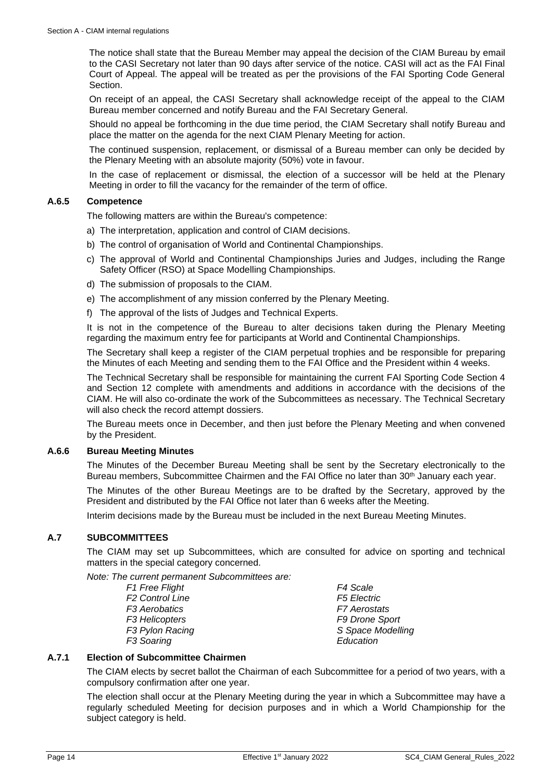The notice shall state that the Bureau Member may appeal the decision of the CIAM Bureau by email to the CASI Secretary not later than 90 days after service of the notice. CASI will act as the FAI Final Court of Appeal. The appeal will be treated as per the provisions of the FAI Sporting Code General Section.

On receipt of an appeal, the CASI Secretary shall acknowledge receipt of the appeal to the CIAM Bureau member concerned and notify Bureau and the FAI Secretary General.

Should no appeal be forthcoming in the due time period, the CIAM Secretary shall notify Bureau and place the matter on the agenda for the next CIAM Plenary Meeting for action.

The continued suspension, replacement, or dismissal of a Bureau member can only be decided by the Plenary Meeting with an absolute majority (50%) vote in favour.

In the case of replacement or dismissal, the election of a successor will be held at the Plenary Meeting in order to fill the vacancy for the remainder of the term of office.

#### **A.6.5 Competence**

The following matters are within the Bureau's competence:

- a) The interpretation, application and control of CIAM decisions.
- b) The control of organisation of World and Continental Championships.
- c) The approval of World and Continental Championships Juries and Judges, including the Range Safety Officer (RSO) at Space Modelling Championships.
- d) The submission of proposals to the CIAM.
- e) The accomplishment of any mission conferred by the Plenary Meeting.
- f) The approval of the lists of Judges and Technical Experts.

It is not in the competence of the Bureau to alter decisions taken during the Plenary Meeting regarding the maximum entry fee for participants at World and Continental Championships.

The Secretary shall keep a register of the CIAM perpetual trophies and be responsible for preparing the Minutes of each Meeting and sending them to the FAI Office and the President within 4 weeks.

The Technical Secretary shall be responsible for maintaining the current FAI Sporting Code Section 4 and Section 12 complete with amendments and additions in accordance with the decisions of the CIAM. He will also co-ordinate the work of the Subcommittees as necessary. The Technical Secretary will also check the record attempt dossiers.

The Bureau meets once in December, and then just before the Plenary Meeting and when convened by the President.

#### **A.6.6 Bureau Meeting Minutes**

The Minutes of the December Bureau Meeting shall be sent by the Secretary electronically to the Bureau members, Subcommittee Chairmen and the FAI Office no later than 30<sup>th</sup> January each year.

The Minutes of the other Bureau Meetings are to be drafted by the Secretary, approved by the President and distributed by the FAI Office not later than 6 weeks after the Meeting.

Interim decisions made by the Bureau must be included in the next Bureau Meeting Minutes.

#### <span id="page-13-0"></span>**A.7 SUBCOMMITTEES**

The CIAM may set up Subcommittees, which are consulted for advice on sporting and technical matters in the special category concerned.

*Note: The current permanent Subcommittees are:*

*F1 Free Flight F4 Scale F2 Control Line F3 Aerobatics F7 Aerostats F3 Helicopters F9 Drone Sport F3 Soaring Education*

*F3 Pylon Racing S Space Modelling*

#### <span id="page-13-1"></span>**A.7.1 Election of Subcommittee Chairmen**

The CIAM elects by secret ballot the Chairman of each Subcommittee for a period of two years, with a compulsory confirmation after one year.

The election shall occur at the Plenary Meeting during the year in which a Subcommittee may have a regularly scheduled Meeting for decision purposes and in which a World Championship for the subject category is held.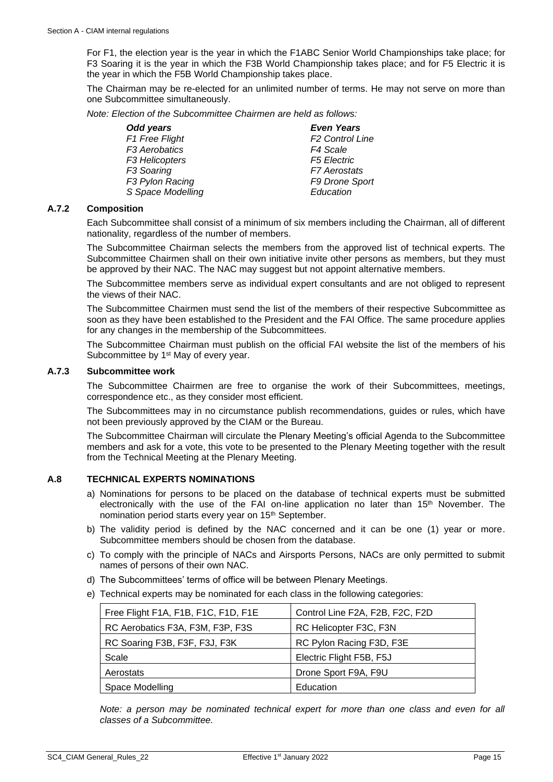For F1, the election year is the year in which the F1ABC Senior World Championships take place; for F3 Soaring it is the year in which the F3B World Championship takes place; and for F5 Electric it is the year in which the F5B World Championship takes place.

The Chairman may be re-elected for an unlimited number of terms. He may not serve on more than one Subcommittee simultaneously.

*Note: Election of the Subcommittee Chairmen are held as follows:*

| Odd years                 | <b>Even Years</b>      |
|---------------------------|------------------------|
| F1 Free Flight            | <b>F2 Control Line</b> |
| F <sub>3</sub> Aerobatics | F4 Scale               |
| F3 Helicopters            | <b>F5 Electric</b>     |
| F <sub>3</sub> Soaring    | <b>F7</b> Aerostats    |
| F3 Pylon Racing           | F9 Drone Sport         |
| S Space Modelling         | Education              |

#### **A.7.2 Composition**

Each Subcommittee shall consist of a minimum of six members including the Chairman, all of different nationality, regardless of the number of members.

The Subcommittee Chairman selects the members from the approved list of technical experts. The Subcommittee Chairmen shall on their own initiative invite other persons as members, but they must be approved by their NAC. The NAC may suggest but not appoint alternative members.

The Subcommittee members serve as individual expert consultants and are not obliged to represent the views of their NAC.

The Subcommittee Chairmen must send the list of the members of their respective Subcommittee as soon as they have been established to the President and the FAI Office. The same procedure applies for any changes in the membership of the Subcommittees.

The Subcommittee Chairman must publish on the official FAI website the list of the members of his Subcommittee by 1<sup>st</sup> May of every year.

## **A.7.3 Subcommittee work**

The Subcommittee Chairmen are free to organise the work of their Subcommittees, meetings, correspondence etc., as they consider most efficient.

The Subcommittees may in no circumstance publish recommendations, guides or rules, which have not been previously approved by the CIAM or the Bureau.

The Subcommittee Chairman will circulate the Plenary Meeting's official Agenda to the Subcommittee members and ask for a vote, this vote to be presented to the Plenary Meeting together with the result from the Technical Meeting at the Plenary Meeting.

#### <span id="page-14-0"></span>**A.8 TECHNICAL EXPERTS NOMINATIONS**

- a) Nominations for persons to be placed on the database of technical experts must be submitted electronically with the use of the FAI on-line application no later than 15<sup>th</sup> November. The nomination period starts every year on 15<sup>th</sup> September.
- b) The validity period is defined by the NAC concerned and it can be one (1) year or more. Subcommittee members should be chosen from the database.
- c) To comply with the principle of NACs and Airsports Persons, NACs are only permitted to submit names of persons of their own NAC.
- d) The Subcommittees' terms of office will be between Plenary Meetings.
- e) Technical experts may be nominated for each class in the following categories:

| Free Flight F1A, F1B, F1C, F1D, F1E | Control Line F2A, F2B, F2C, F2D |
|-------------------------------------|---------------------------------|
| RC Aerobatics F3A, F3M, F3P, F3S    | RC Helicopter F3C, F3N          |
| RC Soaring F3B, F3F, F3J, F3K       | RC Pylon Racing F3D, F3E        |
| Scale                               | Electric Flight F5B, F5J        |
| Aerostats                           | Drone Sport F9A, F9U            |
| Space Modelling                     | Education                       |

*Note: a person may be nominated technical expert for more than one class and even for all classes of a Subcommittee.*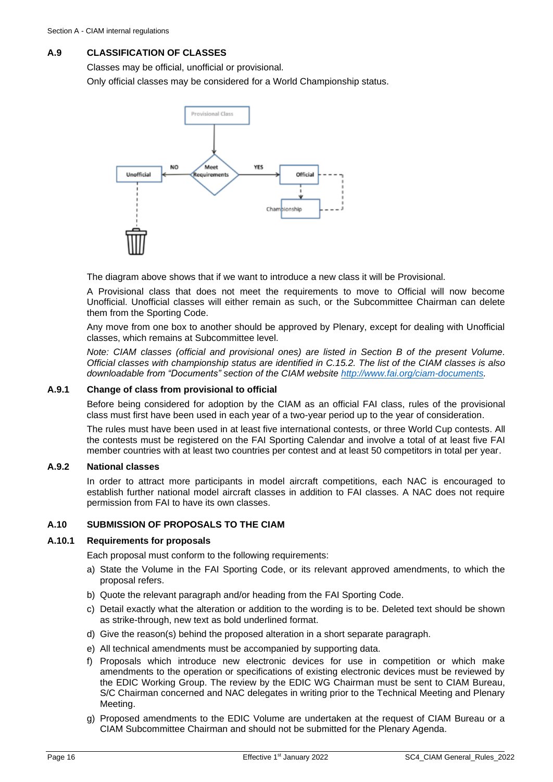## <span id="page-15-0"></span>**A.9 CLASSIFICATION OF CLASSES**

Classes may be official, unofficial or provisional.

Only official classes may be considered for a World Championship status.



The diagram above shows that if we want to introduce a new class it will be Provisional.

A Provisional class that does not meet the requirements to move to Official will now become Unofficial. Unofficial classes will either remain as such, or the Subcommittee Chairman can delete them from the Sporting Code.

Any move from one box to another should be approved by Plenary, except for dealing with Unofficial classes, which remains at Subcommittee level.

*Note: CIAM classes (official and provisional ones) are listed in Section B of the present Volume. Official classes with championship status are identified in [C.15.2.](#page-39-0) The list of the CIAM classes is also downloadable from "Documents" section of the CIAM website [http://www.fai.org/ciam-documents.](http://www.fai.org/ciam-documents)*

## **A.9.1 Change of class from provisional to official**

Before being considered for adoption by the CIAM as an official FAI class, rules of the provisional class must first have been used in each year of a two-year period up to the year of consideration.

The rules must have been used in at least five international contests, or three World Cup contests. All the contests must be registered on the FAI Sporting Calendar and involve a total of at least five FAI member countries with at least two countries per contest and at least 50 competitors in total per year.

## **A.9.2 National classes**

In order to attract more participants in model aircraft competitions, each NAC is encouraged to establish further national model aircraft classes in addition to FAI classes. A NAC does not require permission from FAI to have its own classes.

## <span id="page-15-1"></span>**A.10 SUBMISSION OF PROPOSALS TO THE CIAM**

## **A.10.1 Requirements for proposals**

Each proposal must conform to the following requirements:

- a) State the Volume in the FAI Sporting Code, or its relevant approved amendments, to which the proposal refers.
- b) Quote the relevant paragraph and/or heading from the FAI Sporting Code.
- c) Detail exactly what the alteration or addition to the wording is to be. Deleted text should be shown as strike-through, new text as bold underlined format.
- d) Give the reason(s) behind the proposed alteration in a short separate paragraph.
- e) All technical amendments must be accompanied by supporting data.
- f) Proposals which introduce new electronic devices for use in competition or which make amendments to the operation or specifications of existing electronic devices must be reviewed by the EDIC Working Group. The review by the EDIC WG Chairman must be sent to CIAM Bureau, S/C Chairman concerned and NAC delegates in writing prior to the Technical Meeting and Plenary Meeting.
- g) Proposed amendments to the EDIC Volume are undertaken at the request of CIAM Bureau or a CIAM Subcommittee Chairman and should not be submitted for the Plenary Agenda.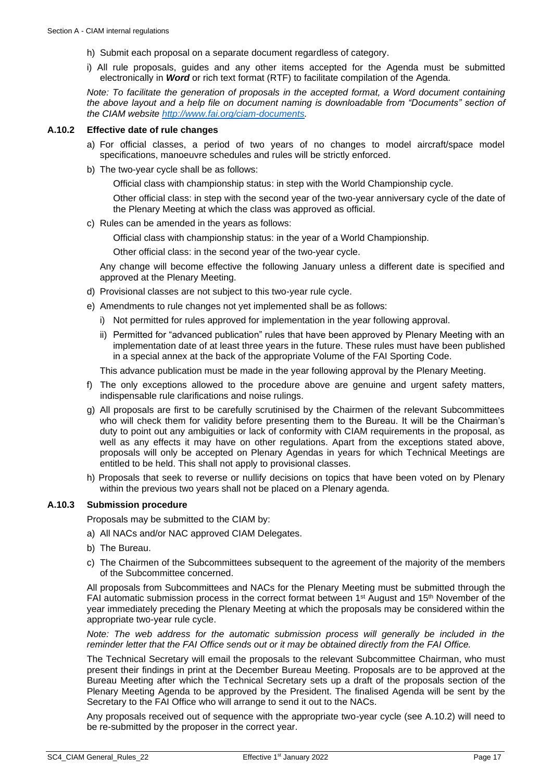- h) Submit each proposal on a separate document regardless of category.
- i) All rule proposals, guides and any other items accepted for the Agenda must be submitted electronically in *Word* or rich text format (RTF) to facilitate compilation of the Agenda.

*Note: To facilitate the generation of proposals in the accepted format, a Word document containing the above layout and a help file on document naming is downloadable from "Documents" section of the CIAM website [http://www.fai.org/ciam-documents.](http://www.fai.org/ciam-documents)* 

#### <span id="page-16-0"></span>**A.10.2 Effective date of rule changes**

- a) For official classes, a period of two years of no changes to model aircraft/space model specifications, manoeuvre schedules and rules will be strictly enforced.
- b) The two-year cycle shall be as follows:

Official class with championship status: in step with the World Championship cycle.

Other official class: in step with the second year of the two-year anniversary cycle of the date of the Plenary Meeting at which the class was approved as official.

c) Rules can be amended in the years as follows:

Official class with championship status: in the year of a World Championship.

Other official class: in the second year of the two-year cycle.

Any change will become effective the following January unless a different date is specified and approved at the Plenary Meeting.

- d) Provisional classes are not subject to this two-year rule cycle.
- e) Amendments to rule changes not yet implemented shall be as follows:
	- i) Not permitted for rules approved for implementation in the year following approval.
	- ii) Permitted for "advanced publication" rules that have been approved by Plenary Meeting with an implementation date of at least three years in the future. These rules must have been published in a special annex at the back of the appropriate Volume of the FAI Sporting Code.

This advance publication must be made in the year following approval by the Plenary Meeting.

- f) The only exceptions allowed to the procedure above are genuine and urgent safety matters, indispensable rule clarifications and noise rulings.
- g) All proposals are first to be carefully scrutinised by the Chairmen of the relevant Subcommittees who will check them for validity before presenting them to the Bureau. It will be the Chairman's duty to point out any ambiguities or lack of conformity with CIAM requirements in the proposal, as well as any effects it may have on other regulations. Apart from the exceptions stated above, proposals will only be accepted on Plenary Agendas in years for which Technical Meetings are entitled to be held. This shall not apply to provisional classes.
- h) Proposals that seek to reverse or nullify decisions on topics that have been voted on by Plenary within the previous two years shall not be placed on a Plenary agenda.

## **A.10.3 Submission procedure**

Proposals may be submitted to the CIAM by:

- a) All NACs and/or NAC approved CIAM Delegates.
- b) The Bureau.
- c) The Chairmen of the Subcommittees subsequent to the agreement of the majority of the members of the Subcommittee concerned.

All proposals from Subcommittees and NACs for the Plenary Meeting must be submitted through the FAI automatic submission process in the correct format between  $1<sup>st</sup>$  August and  $15<sup>th</sup>$  November of the year immediately preceding the Plenary Meeting at which the proposals may be considered within the appropriate two-year rule cycle.

*Note: The web address for the automatic submission process will generally be included in the reminder letter that the FAI Office sends out or it may be obtained directly from the FAI Office.*

The Technical Secretary will email the proposals to the relevant Subcommittee Chairman, who must present their findings in print at the December Bureau Meeting. Proposals are to be approved at the Bureau Meeting after which the Technical Secretary sets up a draft of the proposals section of the Plenary Meeting Agenda to be approved by the President. The finalised Agenda will be sent by the Secretary to the FAI Office who will arrange to send it out to the NACs.

Any proposals received out of sequence with the appropriate two-year cycle (see [A.10.2\)](#page-16-0) will need to be re-submitted by the proposer in the correct year.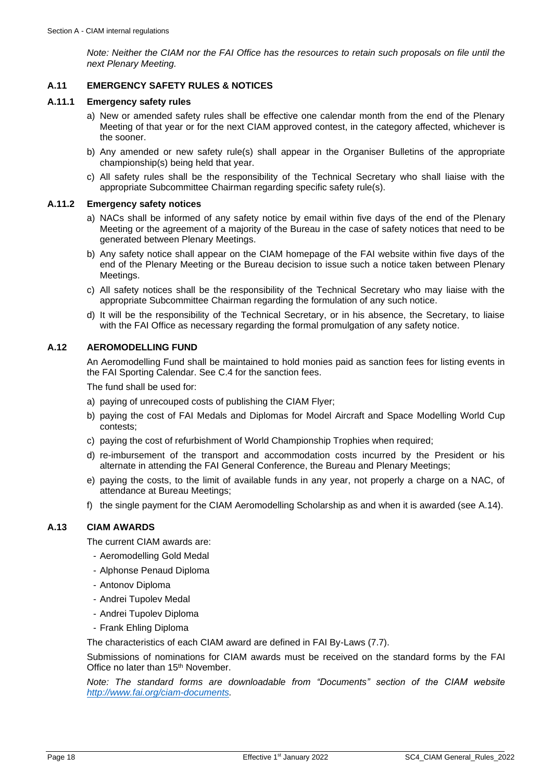*Note: Neither the CIAM nor the FAI Office has the resources to retain such proposals on file until the next Plenary Meeting.*

## <span id="page-17-0"></span>**A.11 EMERGENCY SAFETY RULES & NOTICES**

#### **A.11.1 Emergency safety rules**

- a) New or amended safety rules shall be effective one calendar month from the end of the Plenary Meeting of that year or for the next CIAM approved contest, in the category affected, whichever is the sooner.
- b) Any amended or new safety rule(s) shall appear in the Organiser Bulletins of the appropriate championship(s) being held that year.
- c) All safety rules shall be the responsibility of the Technical Secretary who shall liaise with the appropriate Subcommittee Chairman regarding specific safety rule(s).

#### **A.11.2 Emergency safety notices**

- a) NACs shall be informed of any safety notice by email within five days of the end of the Plenary Meeting or the agreement of a majority of the Bureau in the case of safety notices that need to be generated between Plenary Meetings.
- b) Any safety notice shall appear on the CIAM homepage of the FAI website within five days of the end of the Plenary Meeting or the Bureau decision to issue such a notice taken between Plenary Meetings.
- c) All safety notices shall be the responsibility of the Technical Secretary who may liaise with the appropriate Subcommittee Chairman regarding the formulation of any such notice.
- d) It will be the responsibility of the Technical Secretary, or in his absence, the Secretary, to liaise with the FAI Office as necessary regarding the formal promulgation of any safety notice.

## <span id="page-17-1"></span>**A.12 AEROMODELLING FUND**

An Aeromodelling Fund shall be maintained to hold monies paid as sanction fees for listing events in the FAI Sporting Calendar. See [C.4](#page-30-0) for the sanction fees.

The fund shall be used for:

- a) paying of unrecouped costs of publishing the CIAM Flyer;
- b) paying the cost of FAI Medals and Diplomas for Model Aircraft and Space Modelling World Cup contests;
- c) paying the cost of refurbishment of World Championship Trophies when required;
- d) re-imbursement of the transport and accommodation costs incurred by the President or his alternate in attending the FAI General Conference, the Bureau and Plenary Meetings;
- e) paying the costs, to the limit of available funds in any year, not properly a charge on a NAC, of attendance at Bureau Meetings;
- f) the single payment for the CIAM Aeromodelling Scholarship as and when it is awarded (see [A.14\)](#page-18-0).

## <span id="page-17-2"></span>**A.13 CIAM AWARDS**

The current CIAM awards are:

- Aeromodelling Gold Medal
- Alphonse Penaud Diploma
- Antonov Diploma
- Andrei Tupolev Medal
- Andrei Tupolev Diploma
- Frank Ehling Diploma

The characteristics of each CIAM award are defined in FAI By-Laws (7.7).

Submissions of nominations for CIAM awards must be received on the standard forms by the FAI Office no later than 15<sup>th</sup> November.

*Note: The standard forms are downloadable from "Documents" section of the CIAM website [http://www.fai.org/ciam-documents.](http://www.fai.org/ciam-documents)*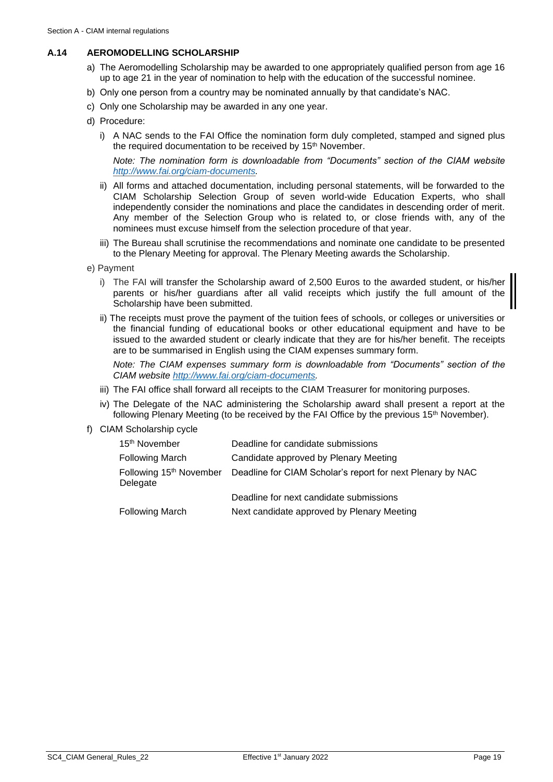## <span id="page-18-0"></span>**A.14 AEROMODELLING SCHOLARSHIP**

- a) The Aeromodelling Scholarship may be awarded to one appropriately qualified person from age 16 up to age 21 in the year of nomination to help with the education of the successful nominee.
- b) Only one person from a country may be nominated annually by that candidate's NAC.
- c) Only one Scholarship may be awarded in any one year.
- d) Procedure:
	- i) A NAC sends to the FAI Office the nomination form duly completed, stamped and signed plus the required documentation to be received by 15<sup>th</sup> November.

*Note: The nomination form is downloadable from "Documents" section of the CIAM website [http://www.fai.org/ciam-documents.](http://www.fai.org/ciam-documents)* 

- ii) All forms and attached documentation, including personal statements, will be forwarded to the CIAM Scholarship Selection Group of seven world-wide Education Experts, who shall independently consider the nominations and place the candidates in descending order of merit. Any member of the Selection Group who is related to, or close friends with, any of the nominees must excuse himself from the selection procedure of that year.
- iii) The Bureau shall scrutinise the recommendations and nominate one candidate to be presented to the Plenary Meeting for approval. The Plenary Meeting awards the Scholarship.
- e) Payment
	- i) The FAI will transfer the Scholarship award of 2,500 Euros to the awarded student, or his/her parents or his/her guardians after all valid receipts which justify the full amount of the Scholarship have been submitted.
	- ii) The receipts must prove the payment of the tuition fees of schools, or colleges or universities or the financial funding of educational books or other educational equipment and have to be issued to the awarded student or clearly indicate that they are for his/her benefit. The receipts are to be summarised in English using the CIAM expenses summary form.

*Note: The CIAM expenses summary form is downloadable from "Documents" section of the CIAM website [http://www.fai.org/ciam-documents.](http://www.fai.org/ciam-documents)*

- iii) The FAI office shall forward all receipts to the CIAM Treasurer for monitoring purposes.
- iv) The Delegate of the NAC administering the Scholarship award shall present a report at the following Plenary Meeting (to be received by the FAI Office by the previous 15<sup>th</sup> November).
- f) CIAM Scholarship cycle

| 15 <sup>th</sup> November | Deadline for candidate submissions                                                 |
|---------------------------|------------------------------------------------------------------------------------|
| <b>Following March</b>    | Candidate approved by Plenary Meeting                                              |
| Delegate                  | Following 15th November Deadline for CIAM Scholar's report for next Plenary by NAC |
|                           | Deadline for next candidate submissions                                            |
| <b>Following March</b>    | Next candidate approved by Plenary Meeting                                         |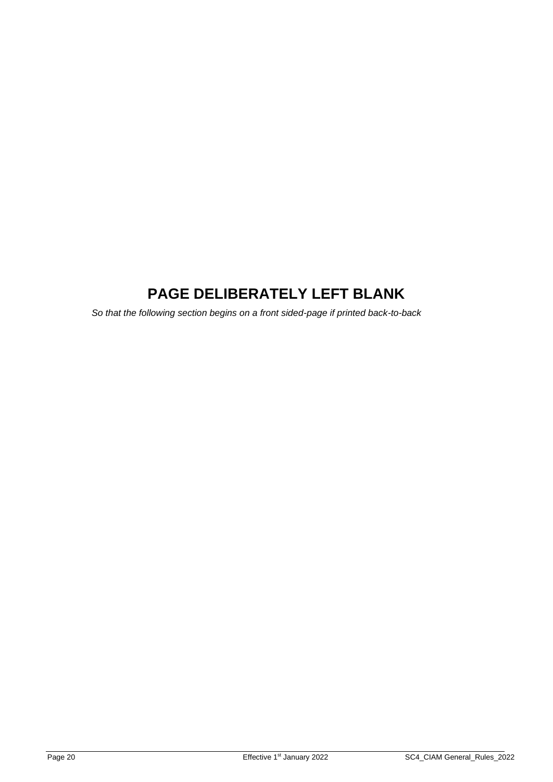# **PAGE DELIBERATELY LEFT BLANK**

*So that the following section begins on a front sided-page if printed back-to-back*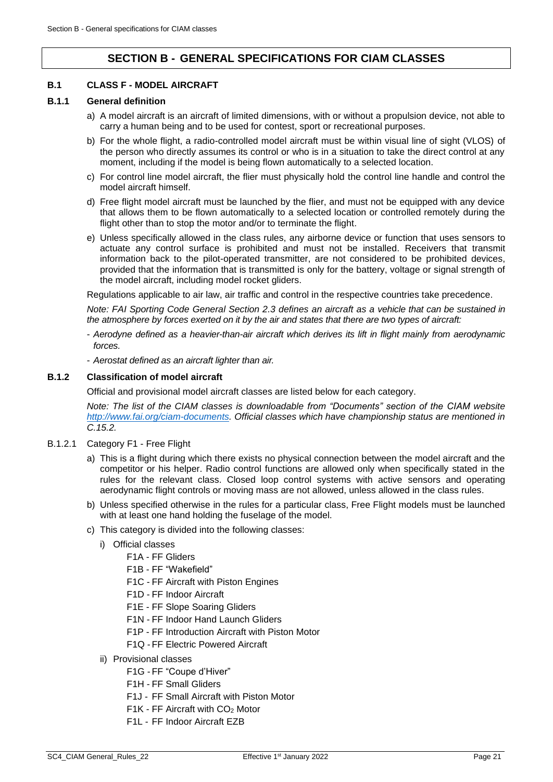## **SECTION B - GENERAL SPECIFICATIONS FOR CIAM CLASSES**

### <span id="page-20-1"></span><span id="page-20-0"></span>**B.1 CLASS F - MODEL AIRCRAFT**

#### **B.1.1 General definition**

- a) A model aircraft is an aircraft of limited dimensions, with or without a propulsion device, not able to carry a human being and to be used for contest, sport or recreational purposes.
- b) For the whole flight, a radio-controlled model aircraft must be within visual line of sight (VLOS) of the person who directly assumes its control or who is in a situation to take the direct control at any moment, including if the model is being flown automatically to a selected location.
- c) For control line model aircraft, the flier must physically hold the control line handle and control the model aircraft himself.
- d) Free flight model aircraft must be launched by the flier, and must not be equipped with any device that allows them to be flown automatically to a selected location or controlled remotely during the flight other than to stop the motor and/or to terminate the flight.
- e) Unless specifically allowed in the class rules, any airborne device or function that uses sensors to actuate any control surface is prohibited and must not be installed. Receivers that transmit information back to the pilot-operated transmitter, are not considered to be prohibited devices, provided that the information that is transmitted is only for the battery, voltage or signal strength of the model aircraft, including model rocket gliders.

Regulations applicable to air law, air traffic and control in the respective countries take precedence.

*Note: FAI Sporting Code General Section 2.3 defines an aircraft as a vehicle that can be sustained in the atmosphere by forces exerted on it by the air and states that there are two types of aircraft:* 

- *Aerodyne defined as a heavier-than-air aircraft which derives its lift in flight mainly from aerodynamic forces.*
- *Aerostat defined as an aircraft lighter than air.*

#### **B.1.2 Classification of model aircraft**

Official and provisional model aircraft classes are listed below for each category.

*Note: The list of the CIAM classes is downloadable from "Documents" section of the CIAM website [http://www.fai.org/ciam-documents.](http://www.fai.org/ciam-documents) Official classes which have championship status are mentioned in [C.15.2.](#page-39-0)*

#### B.1.2.1 Category F1 - Free Flight

- a) This is a flight during which there exists no physical connection between the model aircraft and the competitor or his helper. Radio control functions are allowed only when specifically stated in the rules for the relevant class. Closed loop control systems with active sensors and operating aerodynamic flight controls or moving mass are not allowed, unless allowed in the class rules.
- b) Unless specified otherwise in the rules for a particular class, Free Flight models must be launched with at least one hand holding the fuselage of the model.
- c) This category is divided into the following classes:
	- i) Official classes
		- F1A FF Gliders
		- F1B FF "Wakefield"
		- F1C FF Aircraft with Piston Engines
		- F1D FF Indoor Aircraft
		- F1E FF Slope Soaring Gliders
		- F1N FF Indoor Hand Launch Gliders
		- F1P FF Introduction Aircraft with Piston Motor
		- F1Q -FF Electric Powered Aircraft
	- ii) Provisional classes
		- F1G -FF "Coupe d'Hiver"
		- F1H FF Small Gliders
		- F1J FF Small Aircraft with Piston Motor
		- $F1K$  FF Aircraft with  $CO<sub>2</sub>$  Motor
		- F1L FF Indoor Aircraft EZB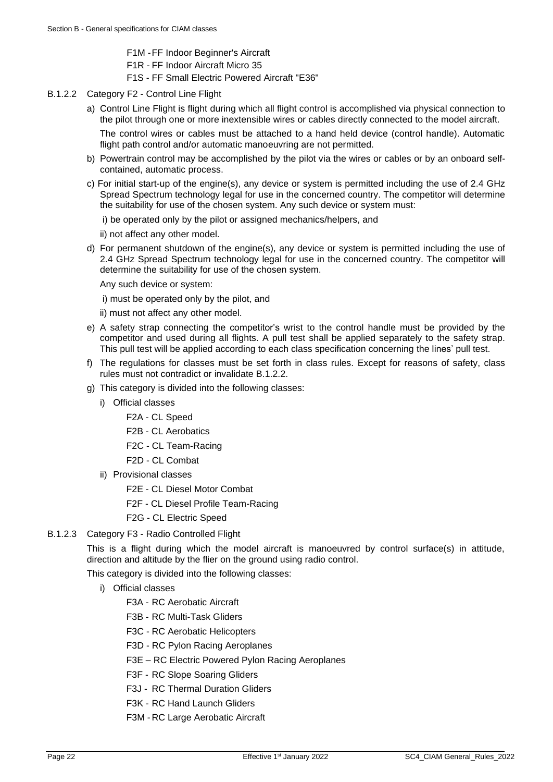- F1M -FF Indoor Beginner's Aircraft
- F1R FF Indoor Aircraft Micro 35
- F1S FF Small Electric Powered Aircraft "E36"
- <span id="page-21-0"></span>B.1.2.2 Category F2 - Control Line Flight
	- a) Control Line Flight is flight during which all flight control is accomplished via physical connection to the pilot through one or more inextensible wires or cables directly connected to the model aircraft.

The control wires or cables must be attached to a hand held device (control handle). Automatic flight path control and/or automatic manoeuvring are not permitted.

- b) Powertrain control may be accomplished by the pilot via the wires or cables or by an onboard selfcontained, automatic process.
- c) For initial start-up of the engine(s), any device or system is permitted including the use of 2.4 GHz Spread Spectrum technology legal for use in the concerned country. The competitor will determine the suitability for use of the chosen system. Any such device or system must:
	- i) be operated only by the pilot or assigned mechanics/helpers, and
	- ii) not affect any other model.
- d) For permanent shutdown of the engine(s), any device or system is permitted including the use of 2.4 GHz Spread Spectrum technology legal for use in the concerned country. The competitor will determine the suitability for use of the chosen system.

Any such device or system:

- i) must be operated only by the pilot, and
- ii) must not affect any other model.
- e) A safety strap connecting the competitor's wrist to the control handle must be provided by the competitor and used during all flights. A pull test shall be applied separately to the safety strap. This pull test will be applied according to each class specification concerning the lines' pull test.
- f) The regulations for classes must be set forth in class rules. Except for reasons of safety, class rules must not contradict or invalidate [B.1.2.2.](#page-21-0)
- g) This category is divided into the following classes:
	- i) Official classes
		- F2A CL Speed
		- F2B CL Aerobatics
		- F2C CL Team-Racing
		- F2D CL Combat
		- ii) Provisional classes
			- F2E CL Diesel Motor Combat
			- F2F CL Diesel Profile Team-Racing
			- F2G CL Electric Speed
- B.1.2.3 Category F3 Radio Controlled Flight

This is a flight during which the model aircraft is manoeuvred by control surface(s) in attitude, direction and altitude by the flier on the ground using radio control.

This category is divided into the following classes:

- i) Official classes
	- F3A RC Aerobatic Aircraft
	- F3B RC Multi-Task Gliders
	- F3C RC Aerobatic Helicopters
	- F3D RC Pylon Racing Aeroplanes
	- F3E RC Electric Powered Pylon Racing Aeroplanes
	- F3F RC Slope Soaring Gliders
	- F3J RC Thermal Duration Gliders
	- F3K RC Hand Launch Gliders
	- F3M RC Large Aerobatic Aircraft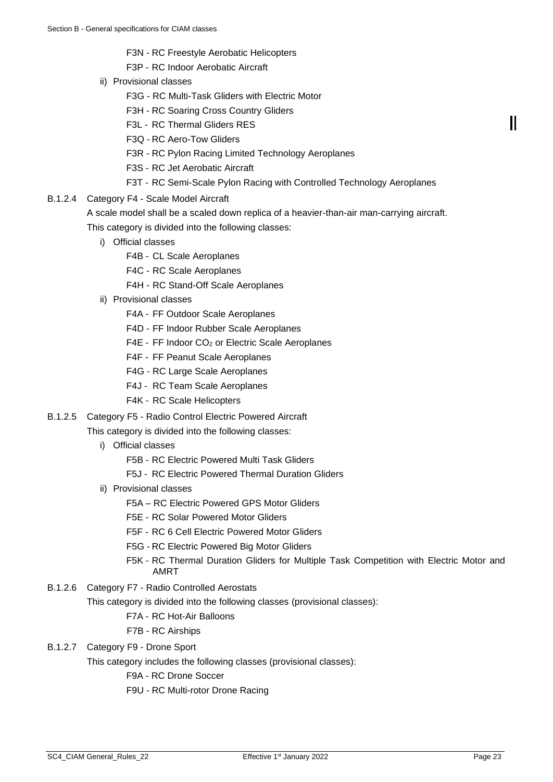- F3N RC Freestyle Aerobatic Helicopters
- F3P RC Indoor Aerobatic Aircraft
- ii) Provisional classes
	- F3G RC Multi-Task Gliders with Electric Motor
	- F3H RC Soaring Cross Country Gliders
	- F3L RC Thermal Gliders RES
	- F3Q RC Aero-Tow Gliders
	- F3R RC Pylon Racing Limited Technology Aeroplanes
	- F3S RC Jet Aerobatic Aircraft
	- F3T RC Semi-Scale Pylon Racing with Controlled Technology Aeroplanes
- B.1.2.4 Category F4 Scale Model Aircraft

A scale model shall be a scaled down replica of a heavier-than-air man-carrying aircraft. This category is divided into the following classes:

- i) Official classes
	- F4B CL Scale Aeroplanes
	- F4C RC Scale Aeroplanes
	- F4H RC Stand-Off Scale Aeroplanes
- ii) Provisional classes
	- F4A FF Outdoor Scale Aeroplanes
	- F4D FF Indoor Rubber Scale Aeroplanes
	- F4E FF Indoor CO<sub>2</sub> or Electric Scale Aeroplanes
	- F4F FF Peanut Scale Aeroplanes
	- F4G RC Large Scale Aeroplanes
	- F4J RC Team Scale Aeroplanes
	- F4K RC Scale Helicopters
- B.1.2.5 Category F5 Radio Control Electric Powered Aircraft

This category is divided into the following classes:

- i) Official classes
	- F5B RC Electric Powered Multi Task Gliders
	- F5J RC Electric Powered Thermal Duration Gliders
- ii) Provisional classes
	- F5A RC Electric Powered GPS Motor Gliders
	- F5E RC Solar Powered Motor Gliders
	- F5F RC 6 Cell Electric Powered Motor Gliders
	- F5G RC Electric Powered Big Motor Gliders
	- F5K RC Thermal Duration Gliders for Multiple Task Competition with Electric Motor and AMRT
- B.1.2.6 Category F7 Radio Controlled Aerostats

This category is divided into the following classes (provisional classes):

## F7A - RC Hot-Air Balloons

F7B - RC Airships

## B.1.2.7 Category F9 - Drone Sport

This category includes the following classes (provisional classes):

F9A - RC Drone Soccer

F9U - RC Multi-rotor Drone Racing

Ш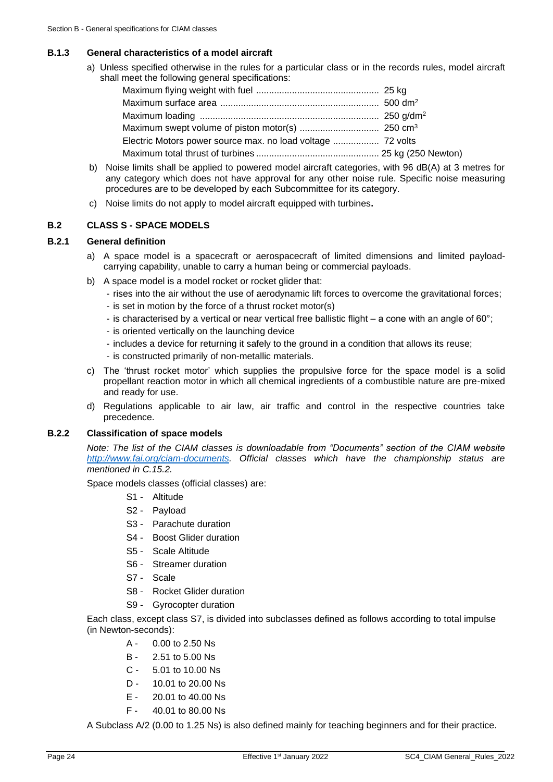#### **B.1.3 General characteristics of a model aircraft**

a) Unless specified otherwise in the rules for a particular class or in the records rules, model aircraft shall meet the following general specifications:

- b) Noise limits shall be applied to powered model aircraft categories, with 96 dB(A) at 3 metres for any category which does not have approval for any other noise rule. Specific noise measuring procedures are to be developed by each Subcommittee for its category.
- c) Noise limits do not apply to model aircraft equipped with turbines**.**

#### <span id="page-23-0"></span>**B.2 CLASS S - SPACE MODELS**

#### **B.2.1 General definition**

- a) A space model is a spacecraft or aerospacecraft of limited dimensions and limited payloadcarrying capability, unable to carry a human being or commercial payloads.
- b) A space model is a model rocket or rocket glider that:
	- rises into the air without the use of aerodynamic lift forces to overcome the gravitational forces;
	- is set in motion by the force of a thrust rocket motor(s)
	- is characterised by a vertical or near vertical free ballistic flight a cone with an angle of 60°;
	- is oriented vertically on the launching device
	- includes a device for returning it safely to the ground in a condition that allows its reuse;
	- is constructed primarily of non-metallic materials.
- c) The 'thrust rocket motor' which supplies the propulsive force for the space model is a solid propellant reaction motor in which all chemical ingredients of a combustible nature are pre-mixed and ready for use.
- d) Regulations applicable to air law, air traffic and control in the respective countries take precedence.

### **B.2.2 Classification of space models**

*Note: The list of the CIAM classes is downloadable from "Documents" section of the CIAM website [http://www.fai.org/ciam-documents.](http://www.fai.org/ciam-documents) Official classes which have the championship status are mentioned in [C.15.2.](#page-39-0)*

Space models classes (official classes) are:

- S1 Altitude
- S2 Payload
- S3 Parachute duration
- S4 Boost Glider duration
- S5 Scale Altitude
- S6 Streamer duration
- S7 Scale
- S8 Rocket Glider duration
- S9 Gyrocopter duration

Each class, except class S7, is divided into subclasses defined as follows according to total impulse (in Newton-seconds):

- A 0.00 to 2.50 Ns
- B 2.51 to 5.00 Ns
- C 5.01 to 10.00 Ns
- D 10.01 to 20.00 Ns
- E 20.01 to 40.00 Ns
- F 40.01 to 80.00 Ns

A Subclass A/2 (0.00 to 1.25 Ns) is also defined mainly for teaching beginners and for their practice.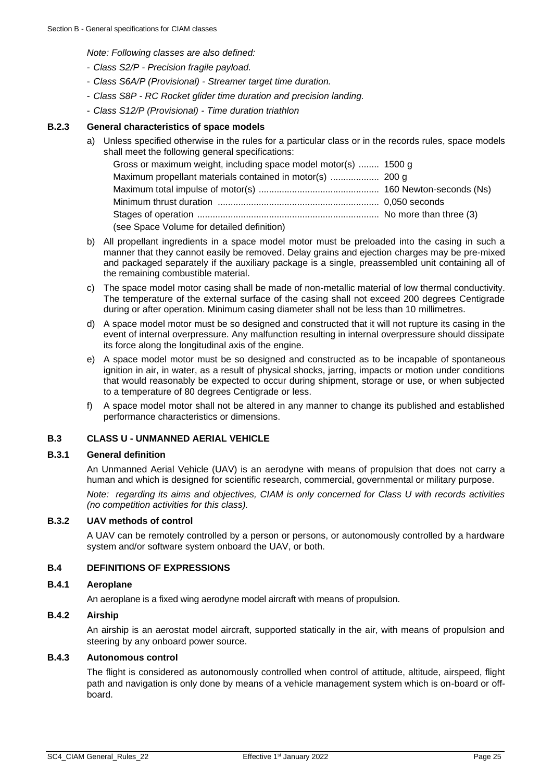*Note: Following classes are also defined:*

- *Class S2/P - Precision fragile payload.*
- *Class S6A/P (Provisional) - Streamer target time duration.*
- *Class S8P - RC Rocket glider time duration and precision landing.*
- *Class S12/P (Provisional) - Time duration triathlon*

#### **B.2.3 General characteristics of space models**

a) Unless specified otherwise in the rules for a particular class or in the records rules, space models shall meet the following general specifications:

| Gross or maximum weight, including space model motor(s)  1500 g |  |
|-----------------------------------------------------------------|--|
|                                                                 |  |
|                                                                 |  |
|                                                                 |  |
|                                                                 |  |
| (see Space Volume for detailed definition)                      |  |

- b) All propellant ingredients in a space model motor must be preloaded into the casing in such a manner that they cannot easily be removed. Delay grains and ejection charges may be pre-mixed and packaged separately if the auxiliary package is a single, preassembled unit containing all of the remaining combustible material.
- c) The space model motor casing shall be made of non-metallic material of low thermal conductivity. The temperature of the external surface of the casing shall not exceed 200 degrees Centigrade during or after operation. Minimum casing diameter shall not be less than 10 millimetres.
- d) A space model motor must be so designed and constructed that it will not rupture its casing in the event of internal overpressure. Any malfunction resulting in internal overpressure should dissipate its force along the longitudinal axis of the engine.
- e) A space model motor must be so designed and constructed as to be incapable of spontaneous ignition in air, in water, as a result of physical shocks, jarring, impacts or motion under conditions that would reasonably be expected to occur during shipment, storage or use, or when subjected to a temperature of 80 degrees Centigrade or less.
- f) A space model motor shall not be altered in any manner to change its published and established performance characteristics or dimensions.

#### <span id="page-24-0"></span>**B.3 CLASS U - UNMANNED AERIAL VEHICLE**

## **B.3.1 General definition**

An Unmanned Aerial Vehicle (UAV) is an aerodyne with means of propulsion that does not carry a human and which is designed for scientific research, commercial, governmental or military purpose.

*Note: regarding its aims and objectives, CIAM is only concerned for Class U with records activities (no competition activities for this class).* 

#### **B.3.2 UAV methods of control**

A UAV can be remotely controlled by a person or persons, or autonomously controlled by a hardware system and/or software system onboard the UAV, or both.

#### <span id="page-24-1"></span>**B.4 DEFINITIONS OF EXPRESSIONS**

## **B.4.1 Aeroplane**

An aeroplane is a fixed wing aerodyne model aircraft with means of propulsion.

## **B.4.2 Airship**

An airship is an aerostat model aircraft, supported statically in the air, with means of propulsion and steering by any onboard power source.

### **B.4.3 Autonomous control**

The flight is considered as autonomously controlled when control of attitude, altitude, airspeed, flight path and navigation is only done by means of a vehicle management system which is on-board or offboard.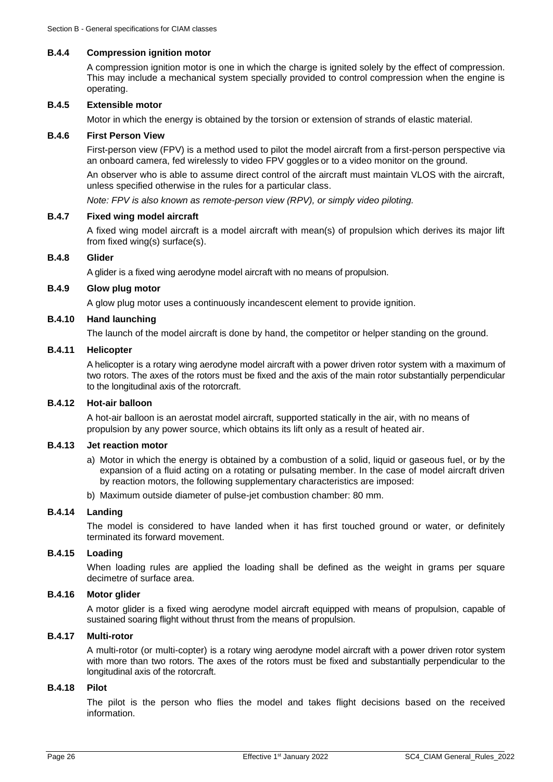#### **B.4.4 Compression ignition motor**

A compression ignition motor is one in which the charge is ignited solely by the effect of compression. This may include a mechanical system specially provided to control compression when the engine is operating.

#### **B.4.5 Extensible motor**

Motor in which the energy is obtained by the torsion or extension of strands of elastic material.

#### **B.4.6 First Person View**

First-person view (FPV) is a method used to pilot the model aircraft from a first-person perspective via an onboard camera, fed wirelessly to video FPV goggles or to a video monitor on the ground.

An observer who is able to assume direct control of the aircraft must maintain VLOS with the aircraft, unless specified otherwise in the rules for a particular class.

*Note: FPV is also known as remote-person view (RPV), or simply video piloting.*

#### **B.4.7 Fixed wing model aircraft**

A fixed wing model aircraft is a model aircraft with mean(s) of propulsion which derives its major lift from fixed wing(s) surface(s).

#### **B.4.8 Glider**

A glider is a fixed wing aerodyne model aircraft with no means of propulsion.

## **B.4.9 Glow plug motor**

A glow plug motor uses a continuously incandescent element to provide ignition.

#### **B.4.10 Hand launching**

The launch of the model aircraft is done by hand, the competitor or helper standing on the ground.

## **B.4.11 Helicopter**

A helicopter is a rotary wing aerodyne model aircraft with a power driven rotor system with a maximum of two rotors. The axes of the rotors must be fixed and the axis of the main rotor substantially perpendicular to the longitudinal axis of the rotorcraft.

#### **B.4.12 Hot-air balloon**

A hot-air balloon is an aerostat model aircraft, supported statically in the air, with no means of propulsion by any power source, which obtains its lift only as a result of heated air.

#### **B.4.13 Jet reaction motor**

- a) Motor in which the energy is obtained by a combustion of a solid, liquid or gaseous fuel, or by the expansion of a fluid acting on a rotating or pulsating member. In the case of model aircraft driven by reaction motors, the following supplementary characteristics are imposed:
- b) Maximum outside diameter of pulse-jet combustion chamber: 80 mm.

#### **B.4.14 Landing**

The model is considered to have landed when it has first touched ground or water, or definitely terminated its forward movement.

## **B.4.15 Loading**

When loading rules are applied the loading shall be defined as the weight in grams per square decimetre of surface area.

### **B.4.16 Motor glider**

A motor glider is a fixed wing aerodyne model aircraft equipped with means of propulsion, capable of sustained soaring flight without thrust from the means of propulsion.

## **B.4.17 Multi-rotor**

A multi-rotor (or multi-copter) is a rotary wing aerodyne model aircraft with a power driven rotor system with more than two rotors. The axes of the rotors must be fixed and substantially perpendicular to the longitudinal axis of the rotorcraft.

#### **B.4.18 Pilot**

The pilot is the person who flies the model and takes flight decisions based on the received information.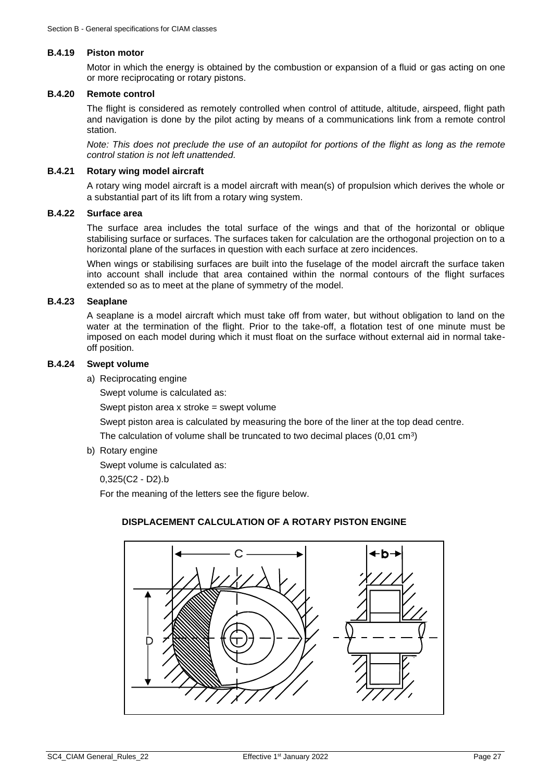#### **B.4.19 Piston motor**

Motor in which the energy is obtained by the combustion or expansion of a fluid or gas acting on one or more reciprocating or rotary pistons.

#### **B.4.20 Remote control**

The flight is considered as remotely controlled when control of attitude, altitude, airspeed, flight path and navigation is done by the pilot acting by means of a communications link from a remote control station.

*Note: This does not preclude the use of an autopilot for portions of the flight as long as the remote control station is not left unattended.*

### **B.4.21 Rotary wing model aircraft**

A rotary wing model aircraft is a model aircraft with mean(s) of propulsion which derives the whole or a substantial part of its lift from a rotary wing system.

## **B.4.22 Surface area**

The surface area includes the total surface of the wings and that of the horizontal or oblique stabilising surface or surfaces. The surfaces taken for calculation are the orthogonal projection on to a horizontal plane of the surfaces in question with each surface at zero incidences.

When wings or stabilising surfaces are built into the fuselage of the model aircraft the surface taken into account shall include that area contained within the normal contours of the flight surfaces extended so as to meet at the plane of symmetry of the model.

## **B.4.23 Seaplane**

A seaplane is a model aircraft which must take off from water, but without obligation to land on the water at the termination of the flight. Prior to the take-off, a flotation test of one minute must be imposed on each model during which it must float on the surface without external aid in normal takeoff position.

#### **B.4.24 Swept volume**

a) Reciprocating engine

Swept volume is calculated as:

Swept piston area x stroke = swept volume

Swept piston area is calculated by measuring the bore of the liner at the top dead centre.

The calculation of volume shall be truncated to two decimal places  $(0,01 \text{ cm}^3)$ 

b) Rotary engine

Swept volume is calculated as:

0,325(C2 - D2).b

For the meaning of the letters see the figure below.

## **DISPLACEMENT CALCULATION OF A ROTARY PISTON ENGINE**

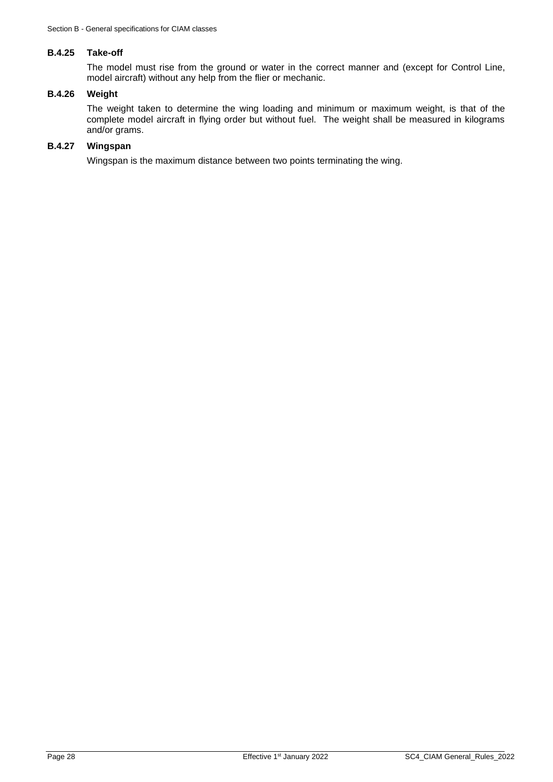#### **B.4.25 Take-off**

The model must rise from the ground or water in the correct manner and (except for Control Line, model aircraft) without any help from the flier or mechanic.

## **B.4.26 Weight**

The weight taken to determine the wing loading and minimum or maximum weight, is that of the complete model aircraft in flying order but without fuel. The weight shall be measured in kilograms and/or grams.

## **B.4.27 Wingspan**

Wingspan is the maximum distance between two points terminating the wing.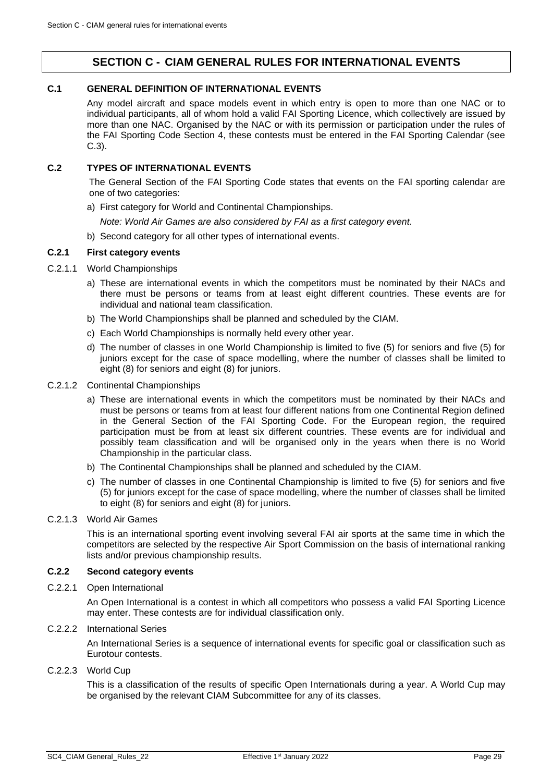## **SECTION C - CIAM GENERAL RULES FOR INTERNATIONAL EVENTS**

## <span id="page-28-1"></span><span id="page-28-0"></span>**C.1 GENERAL DEFINITION OF INTERNATIONAL EVENTS**

Any model aircraft and space models event in which entry is open to more than one NAC or to individual participants, all of whom hold a valid FAI Sporting Licence, which collectively are issued by more than one NAC. Organised by the NAC or with its permission or participation under the rules of the FAI Sporting Code Section 4, these contests must be entered in the FAI Sporting Calendar (see [C.3\)](#page-29-0).

## <span id="page-28-2"></span>**C.2 TYPES OF INTERNATIONAL EVENTS**

The General Section of the FAI Sporting Code states that events on the FAI sporting calendar are one of two categories:

a) First category for World and Continental Championships.

*Note: World Air Games are also considered by FAI as a first category event.*

b) Second category for all other types of international events.

## **C.2.1 First category events**

- C.2.1.1 World Championships
	- a) These are international events in which the competitors must be nominated by their NACs and there must be persons or teams from at least eight different countries. These events are for individual and national team classification.
	- b) The World Championships shall be planned and scheduled by the CIAM.
	- c) Each World Championships is normally held every other year.
	- d) The number of classes in one World Championship is limited to five (5) for seniors and five (5) for juniors except for the case of space modelling, where the number of classes shall be limited to eight (8) for seniors and eight (8) for juniors.
- C.2.1.2 Continental Championships
	- a) These are international events in which the competitors must be nominated by their NACs and must be persons or teams from at least four different nations from one Continental Region defined in the General Section of the FAI Sporting Code. For the European region, the required participation must be from at least six different countries. These events are for individual and possibly team classification and will be organised only in the years when there is no World Championship in the particular class.
	- b) The Continental Championships shall be planned and scheduled by the CIAM.
	- c) The number of classes in one Continental Championship is limited to five (5) for seniors and five (5) for juniors except for the case of space modelling, where the number of classes shall be limited to eight (8) for seniors and eight (8) for juniors.
- C.2.1.3 World Air Games

This is an international sporting event involving several FAI air sports at the same time in which the competitors are selected by the respective Air Sport Commission on the basis of international ranking lists and/or previous championship results.

## **C.2.2 Second category events**

C.2.2.1 Open International

An Open International is a contest in which all competitors who possess a valid FAI Sporting Licence may enter. These contests are for individual classification only.

C.2.2.2 International Series

An International Series is a sequence of international events for specific goal or classification such as Eurotour contests.

## C.2.2.3 World Cup

This is a classification of the results of specific Open Internationals during a year. A World Cup may be organised by the relevant CIAM Subcommittee for any of its classes.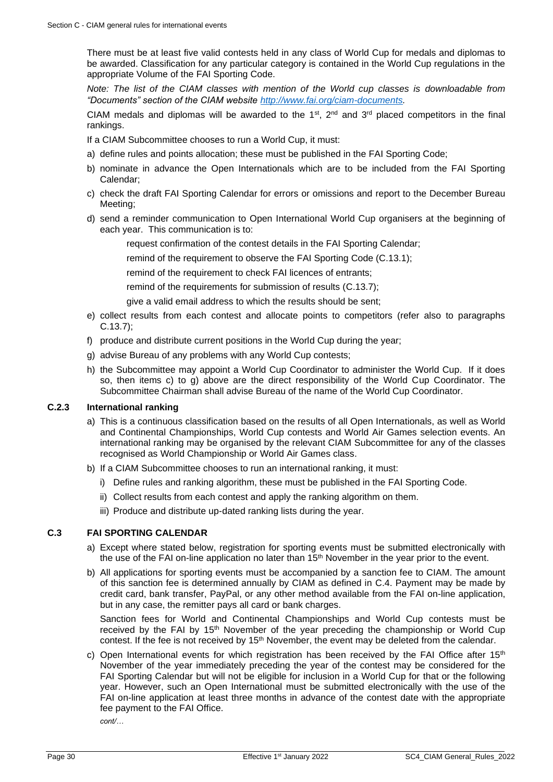There must be at least five valid contests held in any class of World Cup for medals and diplomas to be awarded. Classification for any particular category is contained in the World Cup regulations in the appropriate Volume of the FAI Sporting Code.

*Note: The list of the CIAM classes with mention of the World cup classes is downloadable from "Documents" section of the CIAM website [http://www.fai.org/ciam-documents.](http://www.fai.org/ciam-documents)*

CIAM medals and diplomas will be awarded to the 1<sup>st</sup>, 2<sup>nd</sup> and 3<sup>rd</sup> placed competitors in the final rankings.

If a CIAM Subcommittee chooses to run a World Cup, it must:

- a) define rules and points allocation; these must be published in the FAI Sporting Code;
- b) nominate in advance the Open Internationals which are to be included from the FAI Sporting Calendar;
- c) check the draft FAI Sporting Calendar for errors or omissions and report to the December Bureau Meeting;
- d) send a reminder communication to Open International World Cup organisers at the beginning of each year. This communication is to:
	- request confirmation of the contest details in the FAI Sporting Calendar;

remind of the requirement to observe the FAI Sporting Code [\(C.13.1\)](#page-36-1);

remind of the requirement to check FAI licences of entrants;

remind of the requirements for submission of results [\(C.13.7\)](#page-37-0);

give a valid email address to which the results should be sent;

- e) collect results from each contest and allocate points to competitors (refer also to paragraphs [C.13.7\)](#page-37-0);
- f) produce and distribute current positions in the World Cup during the year;
- g) advise Bureau of any problems with any World Cup contests;
- h) the Subcommittee may appoint a World Cup Coordinator to administer the World Cup. If it does so, then items c) to g) above are the direct responsibility of the World Cup Coordinator. The Subcommittee Chairman shall advise Bureau of the name of the World Cup Coordinator.

#### **C.2.3 International ranking**

- a) This is a continuous classification based on the results of all Open Internationals, as well as World and Continental Championships, World Cup contests and World Air Games selection events. An international ranking may be organised by the relevant CIAM Subcommittee for any of the classes recognised as World Championship or World Air Games class.
- b) If a CIAM Subcommittee chooses to run an international ranking, it must:
	- i) Define rules and ranking algorithm, these must be published in the FAI Sporting Code.
	- ii) Collect results from each contest and apply the ranking algorithm on them.
	- iii) Produce and distribute up-dated ranking lists during the year.

## <span id="page-29-0"></span>**C.3 FAI SPORTING CALENDAR**

- a) Except where stated below, registration for sporting events must be submitted electronically with the use of the FAI on-line application no later than  $15<sup>th</sup>$  November in the year prior to the event.
- b) All applications for sporting events must be accompanied by a sanction fee to CIAM. The amount of this sanction fee is determined annually by CIAM as defined in [C.4.](#page-30-0) Payment may be made by credit card, bank transfer, PayPal, or any other method available from the FAI on-line application, but in any case, the remitter pays all card or bank charges.

Sanction fees for World and Continental Championships and World Cup contests must be received by the FAI by 15<sup>th</sup> November of the year preceding the championship or World Cup contest. If the fee is not received by 15<sup>th</sup> November, the event may be deleted from the calendar.

c) Open International events for which registration has been received by the FAI Office after 15<sup>th</sup> November of the year immediately preceding the year of the contest may be considered for the FAI Sporting Calendar but will not be eligible for inclusion in a World Cup for that or the following year. However, such an Open International must be submitted electronically with the use of the FAI on-line application at least three months in advance of the contest date with the appropriate fee payment to the FAI Office.

*cont/…*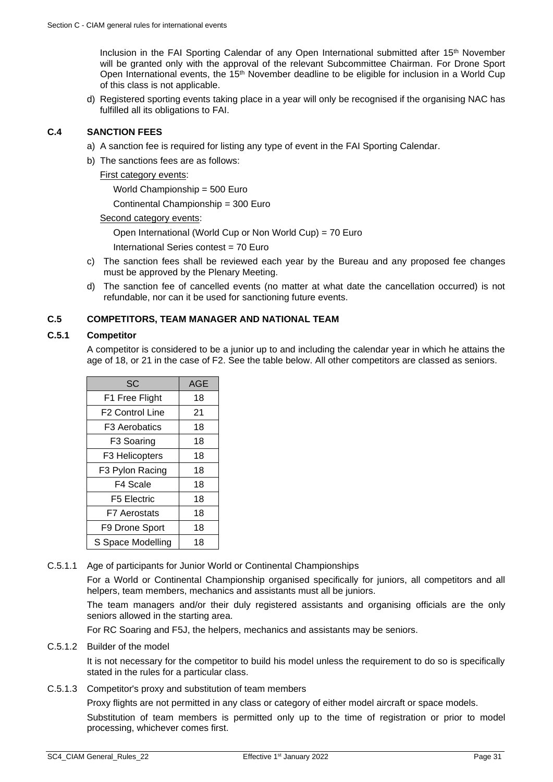Inclusion in the FAI Sporting Calendar of any Open International submitted after 15<sup>th</sup> November will be granted only with the approval of the relevant Subcommittee Chairman. For Drone Sport Open International events, the 15<sup>th</sup> November deadline to be eligible for inclusion in a World Cup of this class is not applicable.

d) Registered sporting events taking place in a year will only be recognised if the organising NAC has fulfilled all its obligations to FAI.

## <span id="page-30-0"></span>**C.4 SANCTION FEES**

- a) A sanction fee is required for listing any type of event in the FAI Sporting Calendar.
- b) The sanctions fees are as follows:

First category events:

World Championship = 500 Euro

Continental Championship = 300 Euro

Second category events:

Open International (World Cup or Non World Cup) = 70 Euro

International Series contest = 70 Euro

- c) The sanction fees shall be reviewed each year by the Bureau and any proposed fee changes must be approved by the Plenary Meeting.
- d) The sanction fee of cancelled events (no matter at what date the cancellation occurred) is not refundable, nor can it be used for sanctioning future events.

## <span id="page-30-1"></span>**C.5 COMPETITORS, TEAM MANAGER AND NATIONAL TEAM**

## **C.5.1 Competitor**

A competitor is considered to be a junior up to and including the calendar year in which he attains the age of 18, or 21 in the case of F2. See the table below. All other competitors are classed as seniors.

| SC                     | AGE |
|------------------------|-----|
| F1 Free Flight         | 18  |
| <b>F2 Control Line</b> | 21  |
| <b>F3 Aerobatics</b>   | 18  |
| F3 Soaring             | 18  |
| F3 Helicopters         | 18  |
| F3 Pylon Racing        | 18  |
| F4 Scale               | 18  |
| F5 Electric            | 18  |
| F7 Aerostats           | 18  |
| F9 Drone Sport         | 18  |
| S Space Modelling      | 18  |

C.5.1.1 Age of participants for Junior World or Continental Championships

For a World or Continental Championship organised specifically for juniors, all competitors and all helpers, team members, mechanics and assistants must all be juniors.

The team managers and/or their duly registered assistants and organising officials are the only seniors allowed in the starting area.

For RC Soaring and F5J, the helpers, mechanics and assistants may be seniors.

C.5.1.2 Builder of the model

It is not necessary for the competitor to build his model unless the requirement to do so is specifically stated in the rules for a particular class.

C.5.1.3 Competitor's proxy and substitution of team members

Proxy flights are not permitted in any class or category of either model aircraft or space models.

Substitution of team members is permitted only up to the time of registration or prior to model processing, whichever comes first.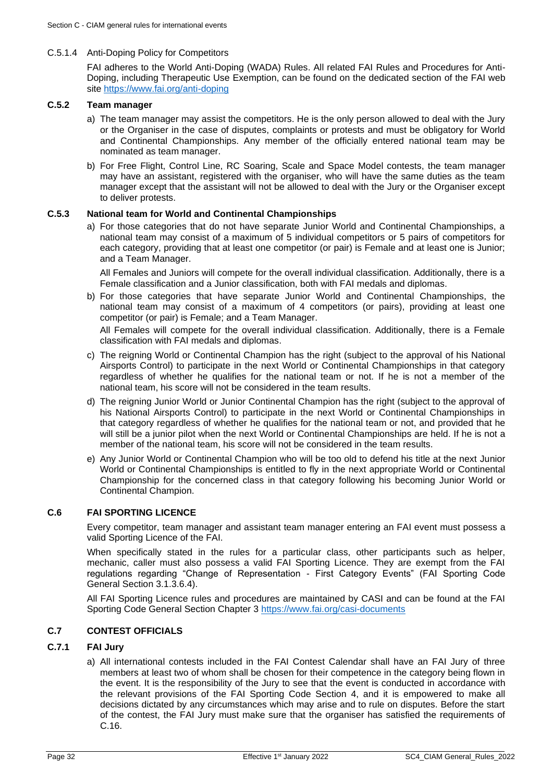## C.5.1.4 Anti-Doping Policy for Competitors

FAI adheres to the World Anti-Doping (WADA) Rules. All related FAI Rules and Procedures for Anti-Doping, including Therapeutic Use Exemption, can be found on the dedicated section of the FAI web site<https://www.fai.org/anti-doping>

## **C.5.2 Team manager**

- a) The team manager may assist the competitors. He is the only person allowed to deal with the Jury or the Organiser in the case of disputes, complaints or protests and must be obligatory for World and Continental Championships. Any member of the officially entered national team may be nominated as team manager.
- b) For Free Flight, Control Line, RC Soaring, Scale and Space Model contests, the team manager may have an assistant, registered with the organiser, who will have the same duties as the team manager except that the assistant will not be allowed to deal with the Jury or the Organiser except to deliver protests.

## <span id="page-31-2"></span>**C.5.3 National team for World and Continental Championships**

a) For those categories that do not have separate Junior World and Continental Championships, a national team may consist of a maximum of 5 individual competitors or 5 pairs of competitors for each category, providing that at least one competitor (or pair) is Female and at least one is Junior; and a Team Manager.

All Females and Juniors will compete for the overall individual classification. Additionally, there is a Female classification and a Junior classification, both with FAI medals and diplomas.

b) For those categories that have separate Junior World and Continental Championships, the national team may consist of a maximum of 4 competitors (or pairs), providing at least one competitor (or pair) is Female; and a Team Manager.

All Females will compete for the overall individual classification. Additionally, there is a Female classification with FAI medals and diplomas.

- c) The reigning World or Continental Champion has the right (subject to the approval of his National Airsports Control) to participate in the next World or Continental Championships in that category regardless of whether he qualifies for the national team or not. If he is not a member of the national team, his score will not be considered in the team results.
- d) The reigning Junior World or Junior Continental Champion has the right (subject to the approval of his National Airsports Control) to participate in the next World or Continental Championships in that category regardless of whether he qualifies for the national team or not, and provided that he will still be a junior pilot when the next World or Continental Championships are held. If he is not a member of the national team, his score will not be considered in the team results.
- e) Any Junior World or Continental Champion who will be too old to defend his title at the next Junior World or Continental Championships is entitled to fly in the next appropriate World or Continental Championship for the concerned class in that category following his becoming Junior World or Continental Champion.

## <span id="page-31-0"></span>**C.6 FAI SPORTING LICENCE**

Every competitor, team manager and assistant team manager entering an FAI event must possess a valid Sporting Licence of the FAI.

When specifically stated in the rules for a particular class, other participants such as helper, mechanic, caller must also possess a valid FAI Sporting Licence. They are exempt from the FAI regulations regarding "Change of Representation - First Category Events" (FAI Sporting Code General Section 3.1.3.6.4).

All FAI Sporting Licence rules and procedures are maintained by CASI and can be found at the FAI Sporting Code General Section Chapter 3<https://www.fai.org/casi-documents>

## <span id="page-31-1"></span>**C.7 CONTEST OFFICIALS**

## <span id="page-31-3"></span>**C.7.1 FAI Jury**

a) All international contests included in the FAI Contest Calendar shall have an FAI Jury of three members at least two of whom shall be chosen for their competence in the category being flown in the event. It is the responsibility of the Jury to see that the event is conducted in accordance with the relevant provisions of the FAI Sporting Code Section 4, and it is empowered to make all decisions dictated by any circumstances which may arise and to rule on disputes. Before the start of the contest, the FAI Jury must make sure that the organiser has satisfied the requirements of [C.16.](#page-44-0)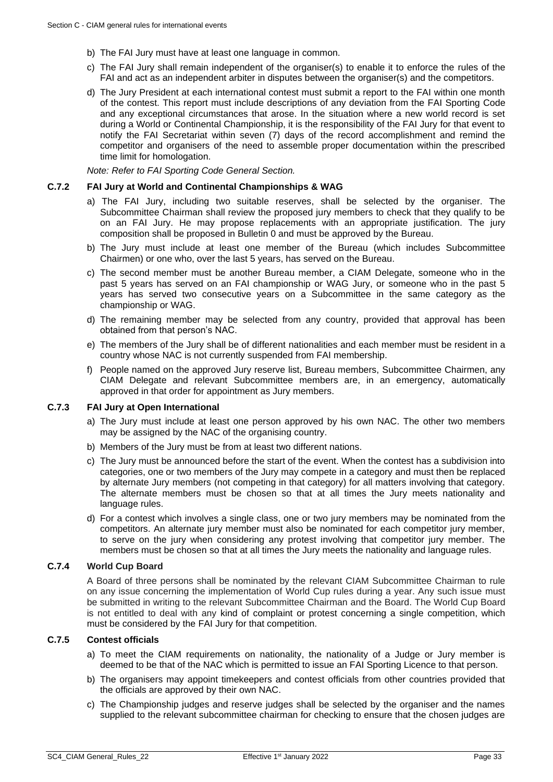- b) The FAI Jury must have at least one language in common.
- c) The FAI Jury shall remain independent of the organiser(s) to enable it to enforce the rules of the FAI and act as an independent arbiter in disputes between the organiser(s) and the competitors.
- d) The Jury President at each international contest must submit a report to the FAI within one month of the contest. This report must include descriptions of any deviation from the FAI Sporting Code and any exceptional circumstances that arose. In the situation where a new world record is set during a World or Continental Championship, it is the responsibility of the FAI Jury for that event to notify the FAI Secretariat within seven (7) days of the record accomplishment and remind the competitor and organisers of the need to assemble proper documentation within the prescribed time limit for homologation.

*Note: Refer to FAI Sporting Code General Section.*

#### **C.7.2 FAI Jury at World and Continental Championships & WAG**

- a) The FAI Jury, including two suitable reserves, shall be selected by the organiser. The Subcommittee Chairman shall review the proposed jury members to check that they qualify to be on an FAI Jury. He may propose replacements with an appropriate justification. The jury composition shall be proposed in Bulletin 0 and must be approved by the Bureau.
- b) The Jury must include at least one member of the Bureau (which includes Subcommittee Chairmen) or one who, over the last 5 years, has served on the Bureau.
- c) The second member must be another Bureau member, a CIAM Delegate, someone who in the past 5 years has served on an FAI championship or WAG Jury, or someone who in the past 5 years has served two consecutive years on a Subcommittee in the same category as the championship or WAG.
- d) The remaining member may be selected from any country, provided that approval has been obtained from that person's NAC.
- e) The members of the Jury shall be of different nationalities and each member must be resident in a country whose NAC is not currently suspended from FAI membership.
- f) People named on the approved Jury reserve list, Bureau members, Subcommittee Chairmen, any CIAM Delegate and relevant Subcommittee members are, in an emergency, automatically approved in that order for appointment as Jury members.

## <span id="page-32-0"></span>**C.7.3 FAI Jury at Open International**

- a) The Jury must include at least one person approved by his own NAC. The other two members may be assigned by the NAC of the organising country.
- b) Members of the Jury must be from at least two different nations.
- c) The Jury must be announced before the start of the event. When the contest has a subdivision into categories, one or two members of the Jury may compete in a category and must then be replaced by alternate Jury members (not competing in that category) for all matters involving that category. The alternate members must be chosen so that at all times the Jury meets nationality and language rules.
- d) For a contest which involves a single class, one or two jury members may be nominated from the competitors. An alternate jury member must also be nominated for each competitor jury member, to serve on the jury when considering any protest involving that competitor jury member. The members must be chosen so that at all times the Jury meets the nationality and language rules.

## **C.7.4 World Cup Board**

A Board of three persons shall be nominated by the relevant CIAM Subcommittee Chairman to rule on any issue concerning the implementation of World Cup rules during a year. Any such issue must be submitted in writing to the relevant Subcommittee Chairman and the Board. The World Cup Board is not entitled to deal with any kind of complaint or protest concerning a single competition, which must be considered by the FAI Jury for that competition.

## **C.7.5 Contest officials**

- a) To meet the CIAM requirements on nationality, the nationality of a Judge or Jury member is deemed to be that of the NAC which is permitted to issue an FAI Sporting Licence to that person.
- b) The organisers may appoint timekeepers and contest officials from other countries provided that the officials are approved by their own NAC.
- c) The Championship judges and reserve judges shall be selected by the organiser and the names supplied to the relevant subcommittee chairman for checking to ensure that the chosen judges are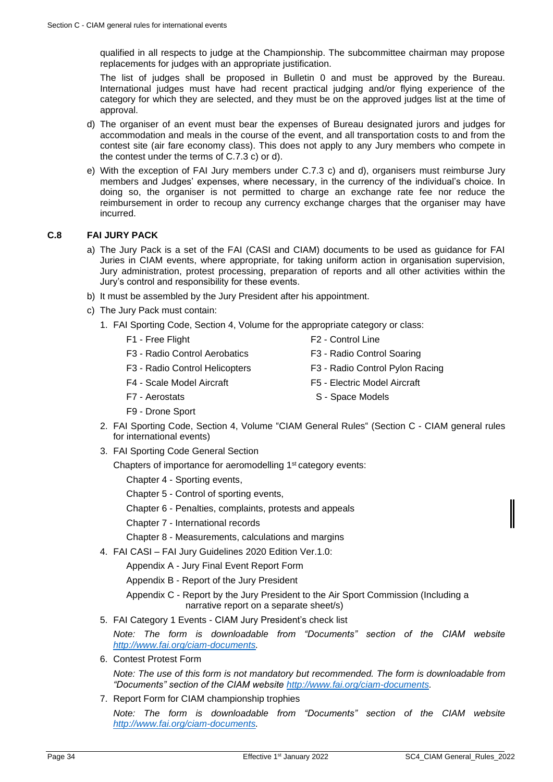qualified in all respects to judge at the Championship. The subcommittee chairman may propose replacements for judges with an appropriate justification.

The list of judges shall be proposed in Bulletin 0 and must be approved by the Bureau. International judges must have had recent practical judging and/or flying experience of the category for which they are selected, and they must be on the approved judges list at the time of approval.

- d) The organiser of an event must bear the expenses of Bureau designated jurors and judges for accommodation and meals in the course of the event, and all transportation costs to and from the contest site (air fare economy class). This does not apply to any Jury members who compete in the contest under the terms of [C.7.3](#page-32-0) c) or d).
- e) With the exception of FAI Jury members under [C.7.3](#page-32-0) c) and d), organisers must reimburse Jury members and Judges' expenses, where necessary, in the currency of the individual's choice. In doing so, the organiser is not permitted to charge an exchange rate fee nor reduce the reimbursement in order to recoup any currency exchange charges that the organiser may have incurred.

## <span id="page-33-0"></span>**C.8 FAI JURY PACK**

- a) The Jury Pack is a set of the FAI (CASI and CIAM) documents to be used as guidance for FAI Juries in CIAM events, where appropriate, for taking uniform action in organisation supervision, Jury administration, protest processing, preparation of reports and all other activities within the Jury's control and responsibility for these events.
- b) It must be assembled by the Jury President after his appointment.
- c) The Jury Pack must contain:
	- 1. FAI Sporting Code, Section 4, Volume for the appropriate category or class:
		-
		- F1 Free Flight F2 Control Line
		- F3 Radio Control Aerobatics F3 Radio Control Soaring
		- F3 Radio Control Helicopters F3 Radio Control Pylon Racing
			-
		- F4 Scale Model Aircraft F5 Electric Model Aircraft
		- F7 Aerostats S Space Models
		- F9 Drone Sport
	- 2. FAI Sporting Code, Section 4, Volume "CIAM General Rules" (Section C CIAM general rules for international events)
	- 3. FAI Sporting Code General Section
		- Chapters of importance for aeromodelling 1<sup>st</sup> category events:
			- Chapter 4 Sporting events,
			- Chapter 5 Control of sporting events,
			- Chapter 6 Penalties, complaints, protests and appeals
			- Chapter 7 International records
			- Chapter 8 Measurements, calculations and margins
	- 4. FAI CASI FAI Jury Guidelines 2020 Edition Ver.1.0:
		- Appendix A Jury Final Event Report Form
		- Appendix B Report of the Jury President
		- Appendix C Report by the Jury President to the Air Sport Commission (Including a narrative report on a separate sheet/s)
	- 5. FAI Category 1 Events CIAM Jury President's check list

*Note: The form is downloadable from "Documents" section of the CIAM website [http://www.fai.org/ciam-documents.](http://www.fai.org/ciam-documents)* 

6. Contest Protest Form

*Note: The use of this form is not mandatory but recommended. The form is downloadable from "Documents" section of the CIAM website [http://www.fai.org/ciam-documents.](http://www.fai.org/ciam-documents)* 

7. Report Form for CIAM championship trophies

*Note: The form is downloadable from "Documents" section of the CIAM website [http://www.fai.org/ciam-documents.](http://www.fai.org/ciam-documents)*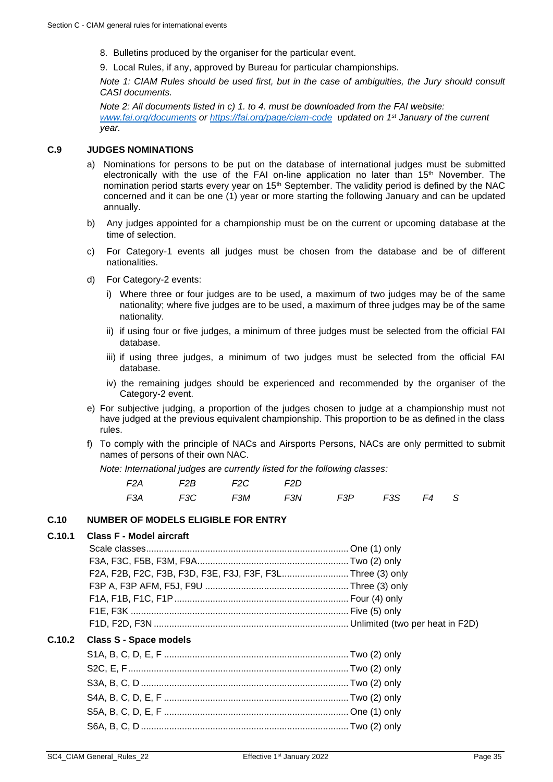- 8. Bulletins produced by the organiser for the particular event.
- 9. Local Rules, if any, approved by Bureau for particular championships.

*Note 1: CIAM Rules should be used first, but in the case of ambiguities, the Jury should consult CASI documents.*

*Note 2: All documents listed in c) 1. to 4. must be downloaded from the FAI website: [www.fai.org/documents](http://www.fai.org/documents) or<https://fai.org/page/ciam-code> updated on 1st January of the current year.* 

## <span id="page-34-0"></span>**C.9 JUDGES NOMINATIONS**

- a) Nominations for persons to be put on the database of international judges must be submitted electronically with the use of the FAI on-line application no later than  $15<sup>th</sup>$  November. The nomination period starts every year on 15<sup>th</sup> September. The validity period is defined by the NAC concerned and it can be one (1) year or more starting the following January and can be updated annually.
- b) Any judges appointed for a championship must be on the current or upcoming database at the time of selection.
- c) For Category-1 events all judges must be chosen from the database and be of different nationalities.
- d) For Category-2 events:
	- i) Where three or four judges are to be used, a maximum of two judges may be of the same nationality; where five judges are to be used, a maximum of three judges may be of the same nationality.
	- ii) if using four or five judges, a minimum of three judges must be selected from the official FAI database.
	- iii) if using three judges, a minimum of two judges must be selected from the official FAI database.
	- iv) the remaining judges should be experienced and recommended by the organiser of the Category-2 event.
- e) For subjective judging, a proportion of the judges chosen to judge at a championship must not have judged at the previous equivalent championship. This proportion to be as defined in the class rules.
- f) To comply with the principle of NACs and Airsports Persons, NACs are only permitted to submit names of persons of their own NAC.

*Note: International judges are currently listed for the following classes:*

|  | F2A F2B F2C F2D              |  |  |  |
|--|------------------------------|--|--|--|
|  | F3A F3C F3M F3N F3P F3S F4 S |  |  |  |

## <span id="page-34-1"></span>**C.10 NUMBER OF MODELS ELIGIBLE FOR ENTRY**

### **C.10.1 Class F - Model aircraft**

| F2A, F2B, F2C, F3B, F3D, F3E, F3J, F3F, F3LThree (3) only |  |
|-----------------------------------------------------------|--|
|                                                           |  |
|                                                           |  |
|                                                           |  |
|                                                           |  |

#### **C.10.2 Class S - Space models**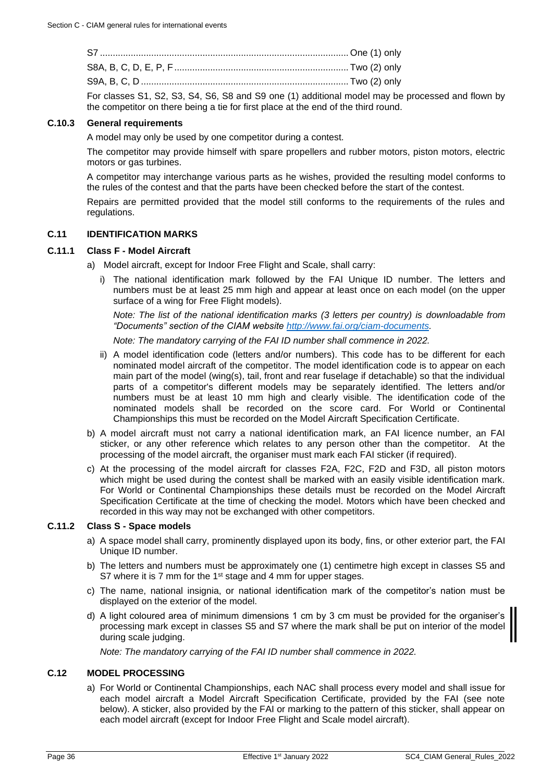| For classes S1, S2, S3, S4, S6, S8 and S9 one (1) additional model may be |  |
|---------------------------------------------------------------------------|--|

additional model may be processed and flown by the competitor on there being a tie for first place at the end of the third round.

## **C.10.3 General requirements**

A model may only be used by one competitor during a contest.

The competitor may provide himself with spare propellers and rubber motors, piston motors, electric motors or gas turbines.

A competitor may interchange various parts as he wishes, provided the resulting model conforms to the rules of the contest and that the parts have been checked before the start of the contest.

Repairs are permitted provided that the model still conforms to the requirements of the rules and regulations.

#### <span id="page-35-0"></span>**C.11 IDENTIFICATION MARKS**

## **C.11.1 Class F - Model Aircraft**

- a) Model aircraft, except for Indoor Free Flight and Scale, shall carry:
	- i) The national identification mark followed by the FAI Unique ID number. The letters and numbers must be at least 25 mm high and appear at least once on each model (on the upper surface of a wing for Free Flight models).

*Note: The list of the national identification marks (3 letters per country) is downloadable from "Documents" section of the CIAM website [http://www.fai.org/ciam-documents.](http://www.fai.org/ciam-documents)*

*Note: The mandatory carrying of the FAI ID number shall commence in 2022.*

- ii) A model identification code (letters and/or numbers). This code has to be different for each nominated model aircraft of the competitor. The model identification code is to appear on each main part of the model (wing(s), tail, front and rear fuselage if detachable) so that the individual parts of a competitor's different models may be separately identified. The letters and/or numbers must be at least 10 mm high and clearly visible. The identification code of the nominated models shall be recorded on the score card. For World or Continental Championships this must be recorded on the Model Aircraft Specification Certificate.
- b) A model aircraft must not carry a national identification mark, an FAI licence number, an FAI sticker, or any other reference which relates to any person other than the competitor. At the processing of the model aircraft, the organiser must mark each FAI sticker (if required).
- c) At the processing of the model aircraft for classes F2A, F2C, F2D and F3D, all piston motors which might be used during the contest shall be marked with an easily visible identification mark. For World or Continental Championships these details must be recorded on the Model Aircraft Specification Certificate at the time of checking the model. Motors which have been checked and recorded in this way may not be exchanged with other competitors.

## **C.11.2 Class S - Space models**

- a) A space model shall carry, prominently displayed upon its body, fins, or other exterior part, the FAI Unique ID number.
- b) The letters and numbers must be approximately one (1) centimetre high except in classes S5 and S7 where it is 7 mm for the 1<sup>st</sup> stage and 4 mm for upper stages.
- c) The name, national insignia, or national identification mark of the competitor's nation must be displayed on the exterior of the model.
- d) A light coloured area of minimum dimensions 1 cm by 3 cm must be provided for the organiser's processing mark except in classes S5 and S7 where the mark shall be put on interior of the model during scale judging.

*Note: The mandatory carrying of the FAI ID number shall commence in 2022.*

## <span id="page-35-1"></span>**C.12 MODEL PROCESSING**

a) For World or Continental Championships, each NAC shall process every model and shall issue for each model aircraft a Model Aircraft Specification Certificate, provided by the FAI (see note below). A sticker, also provided by the FAI or marking to the pattern of this sticker, shall appear on each model aircraft (except for Indoor Free Flight and Scale model aircraft).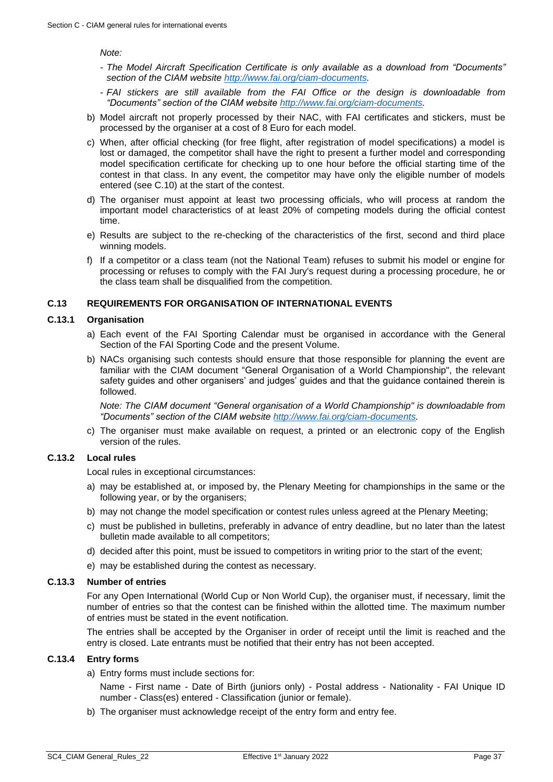*Note:*

- *The Model Aircraft Specification Certificate is only available as a download from "Documents" section of the CIAM website [http://www.fai.org/ciam-documents.](http://www.fai.org/ciam-documents)*
- *FAI stickers are still available from the FAI Office or the design is downloadable from "Documents" section of the CIAM website [http://www.fai.org/ciam-documents.](http://www.fai.org/ciam-documents)*
- b) Model aircraft not properly processed by their NAC, with FAI certificates and stickers, must be processed by the organiser at a cost of 8 Euro for each model.
- c) When, after official checking (for free flight, after registration of model specifications) a model is lost or damaged, the competitor shall have the right to present a further model and corresponding model specification certificate for checking up to one hour before the official starting time of the contest in that class. In any event, the competitor may have only the eligible number of models entered (see [C.10\)](#page-34-1) at the start of the contest.
- d) The organiser must appoint at least two processing officials, who will process at random the important model characteristics of at least 20% of competing models during the official contest time.
- e) Results are subject to the re-checking of the characteristics of the first, second and third place winning models.
- f) If a competitor or a class team (not the National Team) refuses to submit his model or engine for processing or refuses to comply with the FAI Jury's request during a processing procedure, he or the class team shall be disqualified from the competition.

## <span id="page-36-0"></span>**C.13 REQUIREMENTS FOR ORGANISATION OF INTERNATIONAL EVENTS**

#### <span id="page-36-1"></span>**C.13.1 Organisation**

- a) Each event of the FAI Sporting Calendar must be organised in accordance with the General Section of the FAI Sporting Code and the present Volume.
- b) NACs organising such contests should ensure that those responsible for planning the event are familiar with the CIAM document "General Organisation of a World Championship", the relevant safety guides and other organisers' and judges' guides and that the guidance contained therein is followed.

*Note: The CIAM document "General organisation of a World Championship" is downloadable from "Documents" section of the CIAM website [http://www.fai.org/ciam-documents.](http://www.fai.org/ciam-documents)* 

c) The organiser must make available on request, a printed or an electronic copy of the English version of the rules.

## **C.13.2 Local rules**

Local rules in exceptional circumstances:

- a) may be established at, or imposed by, the Plenary Meeting for championships in the same or the following year, or by the organisers;
- b) may not change the model specification or contest rules unless agreed at the Plenary Meeting;
- c) must be published in bulletins, preferably in advance of entry deadline, but no later than the latest bulletin made available to all competitors;
- d) decided after this point, must be issued to competitors in writing prior to the start of the event;
- e) may be established during the contest as necessary.

#### **C.13.3 Number of entries**

For any Open International (World Cup or Non World Cup), the organiser must, if necessary, limit the number of entries so that the contest can be finished within the allotted time. The maximum number of entries must be stated in the event notification.

The entries shall be accepted by the Organiser in order of receipt until the limit is reached and the entry is closed. Late entrants must be notified that their entry has not been accepted.

## **C.13.4 Entry forms**

a) Entry forms must include sections for:

Name - First name - Date of Birth (juniors only) - Postal address - Nationality - FAI Unique ID number - Class(es) entered - Classification (junior or female).

b) The organiser must acknowledge receipt of the entry form and entry fee.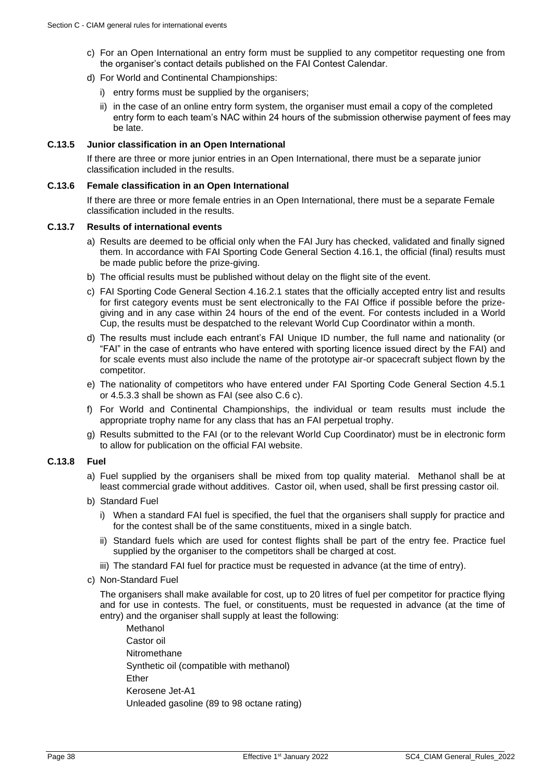- c) For an Open International an entry form must be supplied to any competitor requesting one from the organiser's contact details published on the FAI Contest Calendar.
- d) For World and Continental Championships:
	- i) entry forms must be supplied by the organisers;
	- ii) in the case of an online entry form system, the organiser must email a copy of the completed entry form to each team's NAC within 24 hours of the submission otherwise payment of fees may be late.

#### **C.13.5 Junior classification in an Open International**

If there are three or more junior entries in an Open International, there must be a separate junior classification included in the results.

#### **C.13.6 Female classification in an Open International**

If there are three or more female entries in an Open International, there must be a separate Female classification included in the results.

#### <span id="page-37-0"></span>**C.13.7 Results of international events**

- a) Results are deemed to be official only when the FAI Jury has checked, validated and finally signed them. In accordance with FAI Sporting Code General Section 4.16.1, the official (final) results must be made public before the prize-giving.
- b) The official results must be published without delay on the flight site of the event.
- c) FAI Sporting Code General Section 4.16.2.1 states that the officially accepted entry list and results for first category events must be sent electronically to the FAI Office if possible before the prizegiving and in any case within 24 hours of the end of the event. For contests included in a World Cup, the results must be despatched to the relevant World Cup Coordinator within a month.
- d) The results must include each entrant's FAI Unique ID number, the full name and nationality (or "FAI" in the case of entrants who have entered with sporting licence issued direct by the FAI) and for scale events must also include the name of the prototype air-or spacecraft subject flown by the competitor.
- e) The nationality of competitors who have entered under FAI Sporting Code General Section 4.5.1 or 4.5.3.3 shall be shown as FAI (see also [C.6](#page-31-0) c).
- f) For World and Continental Championships, the individual or team results must include the appropriate trophy name for any class that has an FAI perpetual trophy.
- g) Results submitted to the FAI (or to the relevant World Cup Coordinator) must be in electronic form to allow for publication on the official FAI website.

## **C.13.8 Fuel**

- a) Fuel supplied by the organisers shall be mixed from top quality material. Methanol shall be at least commercial grade without additives. Castor oil, when used, shall be first pressing castor oil.
- b) Standard Fuel
	- i) When a standard FAI fuel is specified, the fuel that the organisers shall supply for practice and for the contest shall be of the same constituents, mixed in a single batch.
	- ii) Standard fuels which are used for contest flights shall be part of the entry fee. Practice fuel supplied by the organiser to the competitors shall be charged at cost.
	- iii) The standard FAI fuel for practice must be requested in advance (at the time of entry).
- c) Non-Standard Fuel

The organisers shall make available for cost, up to 20 litres of fuel per competitor for practice flying and for use in contests. The fuel, or constituents, must be requested in advance (at the time of entry) and the organiser shall supply at least the following:

Methanol Castor oil Nitromethane Synthetic oil (compatible with methanol) Ether Kerosene Jet-A1 Unleaded gasoline (89 to 98 octane rating)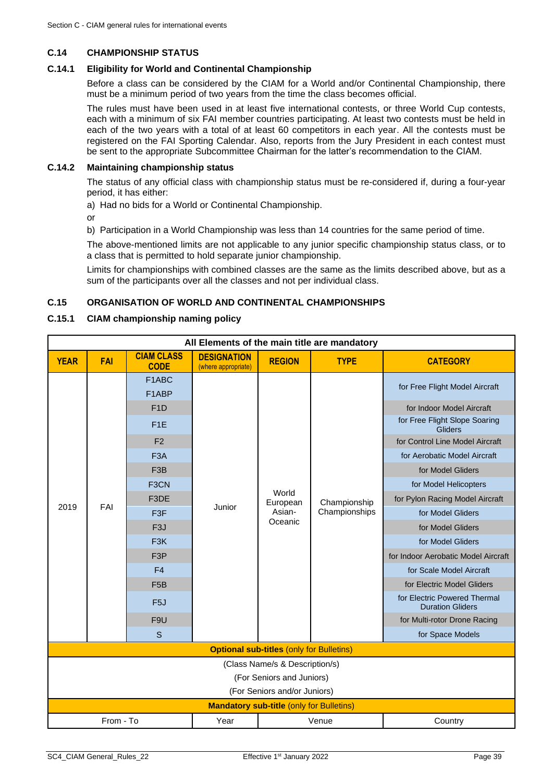## <span id="page-38-0"></span>**C.14 CHAMPIONSHIP STATUS**

## **C.14.1 Eligibility for World and Continental Championship**

Before a class can be considered by the CIAM for a World and/or Continental Championship, there must be a minimum period of two years from the time the class becomes official.

The rules must have been used in at least five international contests, or three World Cup contests, each with a minimum of six FAI member countries participating. At least two contests must be held in each of the two years with a total of at least 60 competitors in each year. All the contests must be registered on the FAI Sporting Calendar. Also, reports from the Jury President in each contest must be sent to the appropriate Subcommittee Chairman for the latter's recommendation to the CIAM.

## **C.14.2 Maintaining championship status**

The status of any official class with championship status must be re-considered if, during a four-year period, it has either:

a) Had no bids for a World or Continental Championship.

or

b) Participation in a World Championship was less than 14 countries for the same period of time.

The above-mentioned limits are not applicable to any junior specific championship status class, or to a class that is permitted to hold separate junior championship.

Limits for championships with combined classes are the same as the limits described above, but as a sum of the participants over all the classes and not per individual class.

## <span id="page-38-1"></span>**C.15 ORGANISATION OF WORLD AND CONTINENTAL CHAMPIONSHIPS**

#### **C.15.1 CIAM championship naming policy**

| All Elements of the main title are mandatory              |                                                 |                                                                                                                                                                                                                                                                                   |                                           |                                        |                               |                                                                                                                                                                                                                                                                                                                                                                                                                                                                                                                               |  |  |
|-----------------------------------------------------------|-------------------------------------------------|-----------------------------------------------------------------------------------------------------------------------------------------------------------------------------------------------------------------------------------------------------------------------------------|-------------------------------------------|----------------------------------------|-------------------------------|-------------------------------------------------------------------------------------------------------------------------------------------------------------------------------------------------------------------------------------------------------------------------------------------------------------------------------------------------------------------------------------------------------------------------------------------------------------------------------------------------------------------------------|--|--|
| <b>YEAR</b>                                               | FAI                                             | <b>CIAM CLASS</b><br><b>CODE</b>                                                                                                                                                                                                                                                  | <b>DESIGNATION</b><br>(where appropriate) | <b>REGION</b>                          | <b>TYPE</b>                   | <b>CATEGORY</b>                                                                                                                                                                                                                                                                                                                                                                                                                                                                                                               |  |  |
| 2019<br>FAI                                               |                                                 | F1ABC<br>F1ABP<br>F <sub>1</sub> D<br>F <sub>1</sub> E<br>F <sub>2</sub><br>F <sub>3</sub> A<br>F <sub>3</sub> B<br>F3CN<br>F3DE<br>F <sub>3</sub> F<br>F <sub>3</sub> J<br>F <sub>3</sub> K<br>F <sub>3</sub> P<br>F <sub>4</sub><br>F <sub>5</sub> B<br>F <sub>5</sub> J<br>F9U | Junior                                    | World<br>European<br>Asian-<br>Oceanic | Championship<br>Championships | for Free Flight Model Aircraft<br>for Indoor Model Aircraft<br>for Free Flight Slope Soaring<br><b>Gliders</b><br>for Control Line Model Aircraft<br>for Aerobatic Model Aircraft<br>for Model Gliders<br>for Model Helicopters<br>for Pylon Racing Model Aircraft<br>for Model Gliders<br>for Model Gliders<br>for Model Gliders<br>for Indoor Aerobatic Model Aircraft<br>for Scale Model Aircraft<br>for Electric Model Gliders<br>for Electric Powered Thermal<br><b>Duration Gliders</b><br>for Multi-rotor Drone Racing |  |  |
| S                                                         |                                                 |                                                                                                                                                                                                                                                                                   |                                           |                                        |                               | for Space Models                                                                                                                                                                                                                                                                                                                                                                                                                                                                                                              |  |  |
| <b>Optional sub-titles (only for Bulletins)</b>           |                                                 |                                                                                                                                                                                                                                                                                   |                                           |                                        |                               |                                                                                                                                                                                                                                                                                                                                                                                                                                                                                                                               |  |  |
| (Class Name/s & Description/s)                            |                                                 |                                                                                                                                                                                                                                                                                   |                                           |                                        |                               |                                                                                                                                                                                                                                                                                                                                                                                                                                                                                                                               |  |  |
| (For Seniors and Juniors)<br>(For Seniors and/or Juniors) |                                                 |                                                                                                                                                                                                                                                                                   |                                           |                                        |                               |                                                                                                                                                                                                                                                                                                                                                                                                                                                                                                                               |  |  |
|                                                           | <b>Mandatory sub-title (only for Bulletins)</b> |                                                                                                                                                                                                                                                                                   |                                           |                                        |                               |                                                                                                                                                                                                                                                                                                                                                                                                                                                                                                                               |  |  |
|                                                           | From - To<br>Year<br>Venue<br>Country           |                                                                                                                                                                                                                                                                                   |                                           |                                        |                               |                                                                                                                                                                                                                                                                                                                                                                                                                                                                                                                               |  |  |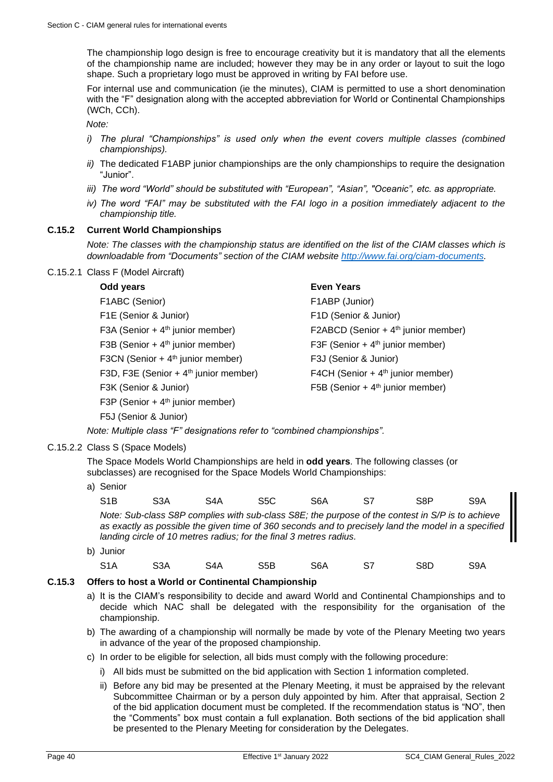The championship logo design is free to encourage creativity but it is mandatory that all the elements of the championship name are included; however they may be in any order or layout to suit the logo shape. Such a proprietary logo must be approved in writing by FAI before use.

For internal use and communication (ie the minutes), CIAM is permitted to use a short denomination with the "F" designation along with the accepted abbreviation for World or Continental Championships (WCh, CCh).

*Note:*

- *i) The plural "Championships" is used only when the event covers multiple classes (combined championships).*
- *ii)* The dedicated F1ABP junior championships are the only championships to require the designation "Junior".
- *iii) The word "World" should be substituted with "European", "Asian", "Oceanic", etc. as appropriate.*
- *iv) The word "FAI" may be substituted with the FAI logo in a position immediately adjacent to the championship title.*

## <span id="page-39-0"></span>**C.15.2 Current World Championships**

*Note: The classes with the championship status are identified on the list of the CIAM classes which is downloadable from "Documents" section of the CIAM website [http://www.fai.org/ciam-documents.](http://www.fai.org/ciam-documents)*

## C.15.2.1 Class F (Model Aircraft)

#### **Odd years Even Years**

| F1ABC (Senior)                                    |
|---------------------------------------------------|
| F1E (Senior & Junior)                             |
| F3A (Senior + $4th$ junior member)                |
| F3B (Senior + $4th$ junior member)                |
| F3CN (Senior + $4th$ junior member)               |
| F3D, F3E (Senior + 4 <sup>th</sup> junior member) |
| F3K (Senior & Junior)                             |
| F3P (Senior + $4th$ junior member)                |
| F5J (Senior & Junior)                             |

## F1ABP (Junior) F1E (Senior & Junior) F1D (Senior & Junior) F2A BCD (Senior + 4<sup>th</sup> junior member) F3F (Senior +  $4<sup>th</sup>$  junior member) F3J (Senior & Junior) F4CH (Senior +  $4<sup>th</sup>$  junior member) F5B (Senior +  $4<sup>th</sup>$  junior member)

*Note: Multiple class "F" designations refer to "combined championships".*

C.15.2.2 Class S (Space Models)

The Space Models World Championships are held in **odd years**. The following classes (or subclasses) are recognised for the Space Models World Championships:

a) Senior

| S <sub>1</sub> B | S3A | S4A                                                                | S5C. | S6A | S7 | S <sub>8</sub> P                                                                                                                                                                                        | S9A |
|------------------|-----|--------------------------------------------------------------------|------|-----|----|---------------------------------------------------------------------------------------------------------------------------------------------------------------------------------------------------------|-----|
|                  |     | landing circle of 10 metres radius; for the final 3 metres radius. |      |     |    | Note: Sub-class S8P complies with sub-class S8E; the purpose of the contest in S/P is to achieve<br>as exactly as possible the given time of 360 seconds and to precisely land the model in a specified |     |
|                  |     |                                                                    |      |     |    |                                                                                                                                                                                                         |     |

b) Junior S1A S3A S4A S5B S6A S7 S8D S9A

## **C.15.3 Offers to host a World or Continental Championship**

- a) It is the CIAM's responsibility to decide and award World and Continental Championships and to decide which NAC shall be delegated with the responsibility for the organisation of the championship.
- b) The awarding of a championship will normally be made by vote of the Plenary Meeting two years in advance of the year of the proposed championship.
- c) In order to be eligible for selection, all bids must comply with the following procedure:
	- i) All bids must be submitted on the bid application with Section 1 information completed.
	- ii) Before any bid may be presented at the Plenary Meeting, it must be appraised by the relevant Subcommittee Chairman or by a person duly appointed by him. After that appraisal, Section 2 of the bid application document must be completed. If the recommendation status is "NO", then the "Comments" box must contain a full explanation. Both sections of the bid application shall be presented to the Plenary Meeting for consideration by the Delegates.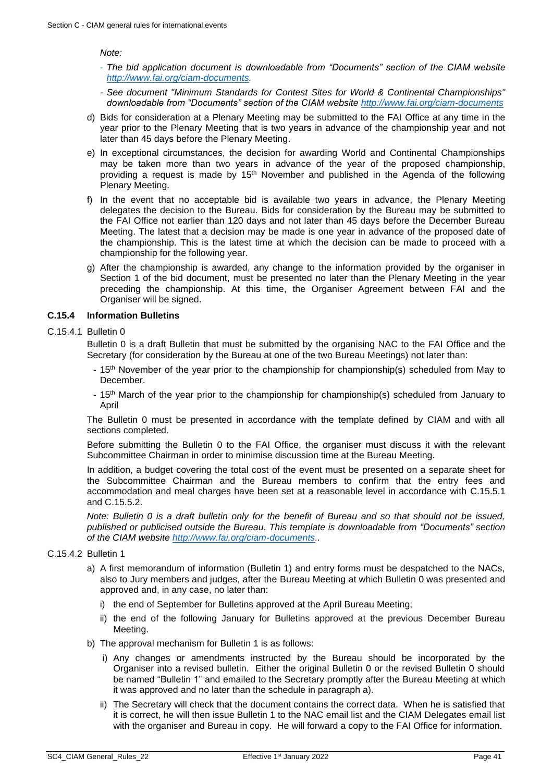*Note:* 

- *The bid application document is downloadable from "Documents" section of the CIAM website [http://www.fai.org/ciam-documents.](http://www.fai.org/ciam-documents)*
- *- See document "Minimum Standards for Contest Sites for World & Continental Championships" downloadable from "Documents" section of the CIAM website <http://www.fai.org/ciam-documents>*
- d) Bids for consideration at a Plenary Meeting may be submitted to the FAI Office at any time in the year prior to the Plenary Meeting that is two years in advance of the championship year and not later than 45 days before the Plenary Meeting.
- e) In exceptional circumstances, the decision for awarding World and Continental Championships may be taken more than two years in advance of the year of the proposed championship, providing a request is made by  $15<sup>th</sup>$  November and published in the Agenda of the following Plenary Meeting.
- f) In the event that no acceptable bid is available two years in advance, the Plenary Meeting delegates the decision to the Bureau. Bids for consideration by the Bureau may be submitted to the FAI Office not earlier than 120 days and not later than 45 days before the December Bureau Meeting. The latest that a decision may be made is one year in advance of the proposed date of the championship. This is the latest time at which the decision can be made to proceed with a championship for the following year.
- g) After the championship is awarded, any change to the information provided by the organiser in Section 1 of the bid document, must be presented no later than the Plenary Meeting in the year preceding the championship. At this time, the Organiser Agreement between FAI and the Organiser will be signed.

#### **C.15.4 Information Bulletins**

#### C.15.4.1 Bulletin 0

Bulletin 0 is a draft Bulletin that must be submitted by the organising NAC to the FAI Office and the Secretary (for consideration by the Bureau at one of the two Bureau Meetings) not later than:

- 15<sup>th</sup> November of the year prior to the championship for championship(s) scheduled from May to December.
- 15<sup>th</sup> March of the year prior to the championship for championship(s) scheduled from January to April

The Bulletin 0 must be presented in accordance with the template defined by CIAM and with all sections completed.

Before submitting the Bulletin 0 to the FAI Office, the organiser must discuss it with the relevant Subcommittee Chairman in order to minimise discussion time at the Bureau Meeting.

In addition, a budget covering the total cost of the event must be presented on a separate sheet for the Subcommittee Chairman and the Bureau members to confirm that the entry fees and accommodation and meal charges have been set at a reasonable level in accordance with [C.15.5.1](#page-41-0) and [C.15.5.2.](#page-41-1)

*Note: Bulletin 0 is a draft bulletin only for the benefit of Bureau and so that should not be issued, published or publicised outside the Bureau. This template is downloadable from "Documents" section of the CIAM website [http://www.fai.org/ciam-documents.](http://www.fai.org/ciam-documents).*

#### C.15.4.2 Bulletin 1

- a) A first memorandum of information (Bulletin 1) and entry forms must be despatched to the NACs, also to Jury members and judges, after the Bureau Meeting at which Bulletin 0 was presented and approved and, in any case, no later than:
	- i) the end of September for Bulletins approved at the April Bureau Meeting;
	- ii) the end of the following January for Bulletins approved at the previous December Bureau Meeting.
- b) The approval mechanism for Bulletin 1 is as follows:
	- i) Any changes or amendments instructed by the Bureau should be incorporated by the Organiser into a revised bulletin. Either the original Bulletin 0 or the revised Bulletin 0 should be named "Bulletin 1" and emailed to the Secretary promptly after the Bureau Meeting at which it was approved and no later than the schedule in paragraph a).
	- ii) The Secretary will check that the document contains the correct data. When he is satisfied that it is correct, he will then issue Bulletin 1 to the NAC email list and the CIAM Delegates email list with the organiser and Bureau in copy. He will forward a copy to the FAI Office for information.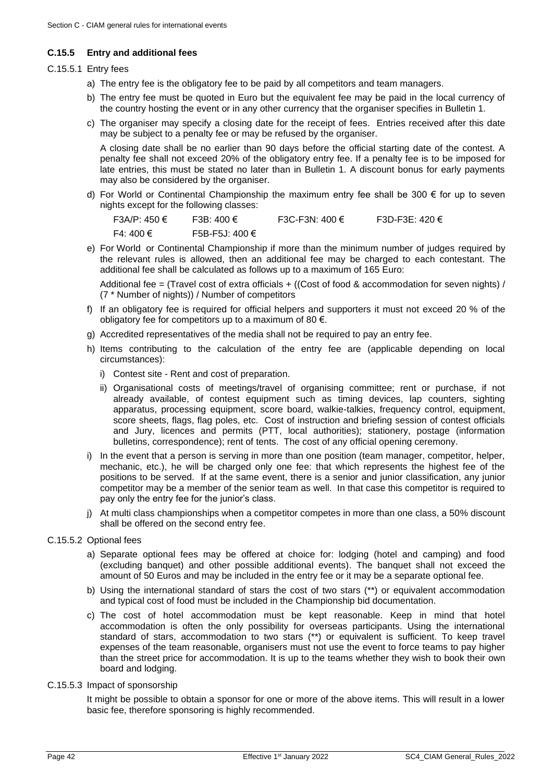## **C.15.5 Entry and additional fees**

## <span id="page-41-0"></span>C.15.5.1 Entry fees

- a) The entry fee is the obligatory fee to be paid by all competitors and team managers.
- b) The entry fee must be quoted in Euro but the equivalent fee may be paid in the local currency of the country hosting the event or in any other currency that the organiser specifies in Bulletin 1.
- c) The organiser may specify a closing date for the receipt of fees. Entries received after this date may be subject to a penalty fee or may be refused by the organiser.

A closing date shall be no earlier than 90 days before the official starting date of the contest. A penalty fee shall not exceed 20% of the obligatory entry fee. If a penalty fee is to be imposed for late entries, this must be stated no later than in Bulletin 1. A discount bonus for early payments may also be considered by the organiser.

d) For World or Continental Championship the maximum entry fee shall be 300 € for up to seven nights except for the following classes:

| F3A/P: 450 € | F3B: 400 €     | F3C-F3N: 400 € | F3D-F3E: 420 $\in$ |
|--------------|----------------|----------------|--------------------|
| F4: 400 €    | F5B-F5J: 400 € |                |                    |

e) For World or Continental Championship if more than the minimum number of judges required by the relevant rules is allowed, then an additional fee may be charged to each contestant. The additional fee shall be calculated as follows up to a maximum of 165 Euro:

Additional fee = (Travel cost of extra officials  $+$  ((Cost of food & accommodation for seven nights) / (7 \* Number of nights)) / Number of competitors

- f) If an obligatory fee is required for official helpers and supporters it must not exceed 20 % of the obligatory fee for competitors up to a maximum of 80  $\epsilon$ .
- g) Accredited representatives of the media shall not be required to pay an entry fee.
- h) Items contributing to the calculation of the entry fee are (applicable depending on local circumstances):
	- i) Contest site Rent and cost of preparation.
	- ii) Organisational costs of meetings/travel of organising committee; rent or purchase, if not already available, of contest equipment such as timing devices, lap counters, sighting apparatus, processing equipment, score board, walkie-talkies, frequency control, equipment, score sheets, flags, flag poles, etc. Cost of instruction and briefing session of contest officials and Jury, licences and permits (PTT, local authorities); stationery, postage (information bulletins, correspondence); rent of tents. The cost of any official opening ceremony.
- i) In the event that a person is serving in more than one position (team manager, competitor, helper, mechanic, etc.), he will be charged only one fee: that which represents the highest fee of the positions to be served. If at the same event, there is a senior and junior classification, any junior competitor may be a member of the senior team as well. In that case this competitor is required to pay only the entry fee for the junior's class.
- j) At multi class championships when a competitor competes in more than one class, a 50% discount shall be offered on the second entry fee.
- <span id="page-41-1"></span>C.15.5.2 Optional fees
	- a) Separate optional fees may be offered at choice for: lodging (hotel and camping) and food (excluding banquet) and other possible additional events). The banquet shall not exceed the amount of 50 Euros and may be included in the entry fee or it may be a separate optional fee.
	- b) Using the international standard of stars the cost of two stars (\*\*) or equivalent accommodation and typical cost of food must be included in the Championship bid documentation.
	- c) The cost of hotel accommodation must be kept reasonable. Keep in mind that hotel accommodation is often the only possibility for overseas participants. Using the international standard of stars, accommodation to two stars (\*\*) or equivalent is sufficient. To keep travel expenses of the team reasonable, organisers must not use the event to force teams to pay higher than the street price for accommodation. It is up to the teams whether they wish to book their own board and lodging.
- C.15.5.3 Impact of sponsorship

It might be possible to obtain a sponsor for one or more of the above items. This will result in a lower basic fee, therefore sponsoring is highly recommended.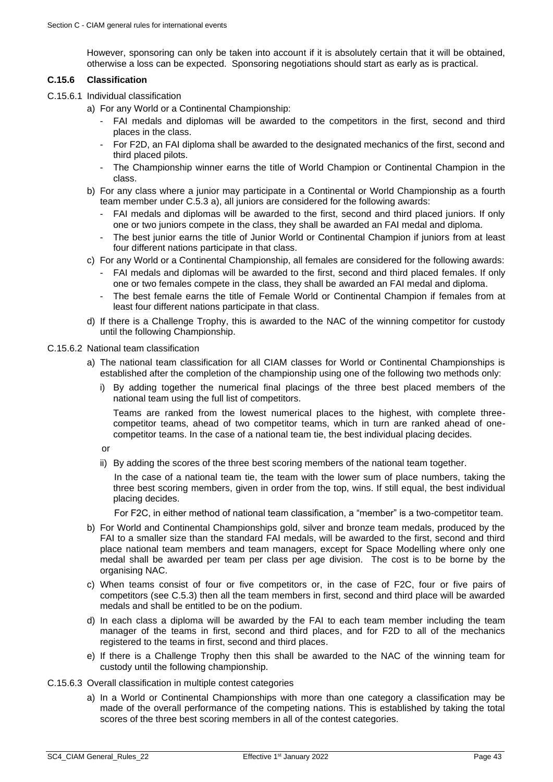However, sponsoring can only be taken into account if it is absolutely certain that it will be obtained, otherwise a loss can be expected. Sponsoring negotiations should start as early as is practical.

## **C.15.6 Classification**

- C.15.6.1 Individual classification
	- a) For any World or a Continental Championship:
		- FAI medals and diplomas will be awarded to the competitors in the first, second and third places in the class.
		- For F2D, an FAI diploma shall be awarded to the designated mechanics of the first, second and third placed pilots.
		- The Championship winner earns the title of World Champion or Continental Champion in the class.
	- b) For any class where a junior may participate in a Continental or World Championship as a fourth team member under C.5.3 a), all juniors are considered for the following awards:
		- FAI medals and diplomas will be awarded to the first, second and third placed juniors. If only one or two juniors compete in the class, they shall be awarded an FAI medal and diploma.
		- The best junior earns the title of Junior World or Continental Champion if juniors from at least four different nations participate in that class.
	- c) For any World or a Continental Championship, all females are considered for the following awards:
		- FAI medals and diplomas will be awarded to the first, second and third placed females. If only one or two females compete in the class, they shall be awarded an FAI medal and diploma.
		- The best female earns the title of Female World or Continental Champion if females from at least four different nations participate in that class.
	- d) If there is a Challenge Trophy, this is awarded to the NAC of the winning competitor for custody until the following Championship.

#### C.15.6.2 National team classification

- a) The national team classification for all CIAM classes for World or Continental Championships is established after the completion of the championship using one of the following two methods only:
	- i) By adding together the numerical final placings of the three best placed members of the national team using the full list of competitors.

Teams are ranked from the lowest numerical places to the highest, with complete threecompetitor teams, ahead of two competitor teams, which in turn are ranked ahead of onecompetitor teams. In the case of a national team tie, the best individual placing decides.

or

ii) By adding the scores of the three best scoring members of the national team together.

In the case of a national team tie, the team with the lower sum of place numbers, taking the three best scoring members, given in order from the top, wins. If still equal, the best individual placing decides.

For F2C, in either method of national team classification, a "member" is a two-competitor team.

- b) For World and Continental Championships gold, silver and bronze team medals, produced by the FAI to a smaller size than the standard FAI medals, will be awarded to the first, second and third place national team members and team managers, except for Space Modelling where only one medal shall be awarded per team per class per age division. The cost is to be borne by the organising NAC.
- c) When teams consist of four or five competitors or, in the case of F2C, four or five pairs of competitors (see [C.5.3\)](#page-31-2) then all the team members in first, second and third place will be awarded medals and shall be entitled to be on the podium.
- d) In each class a diploma will be awarded by the FAI to each team member including the team manager of the teams in first, second and third places, and for F2D to all of the mechanics registered to the teams in first, second and third places.
- e) If there is a Challenge Trophy then this shall be awarded to the NAC of the winning team for custody until the following championship.
- C.15.6.3 Overall classification in multiple contest categories
	- a) In a World or Continental Championships with more than one category a classification may be made of the overall performance of the competing nations. This is established by taking the total scores of the three best scoring members in all of the contest categories.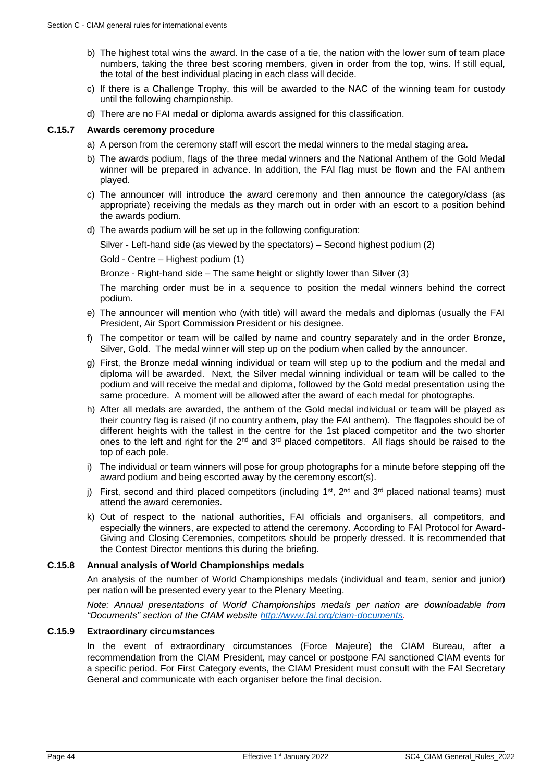- b) The highest total wins the award. In the case of a tie, the nation with the lower sum of team place numbers, taking the three best scoring members, given in order from the top, wins. If still equal, the total of the best individual placing in each class will decide.
- c) If there is a Challenge Trophy, this will be awarded to the NAC of the winning team for custody until the following championship.
- d) There are no FAI medal or diploma awards assigned for this classification.

## **C.15.7 Awards ceremony procedure**

- a) A person from the ceremony staff will escort the medal winners to the medal staging area.
- b) The awards podium, flags of the three medal winners and the National Anthem of the Gold Medal winner will be prepared in advance. In addition, the FAI flag must be flown and the FAI anthem played.
- c) The announcer will introduce the award ceremony and then announce the category/class (as appropriate) receiving the medals as they march out in order with an escort to a position behind the awards podium.
- d) The awards podium will be set up in the following configuration:

Silver - Left-hand side (as viewed by the spectators) – Second highest podium (2)

Gold - Centre – Highest podium (1)

Bronze - Right-hand side – The same height or slightly lower than Silver (3)

The marching order must be in a sequence to position the medal winners behind the correct podium.

- e) The announcer will mention who (with title) will award the medals and diplomas (usually the FAI President, Air Sport Commission President or his designee.
- f) The competitor or team will be called by name and country separately and in the order Bronze, Silver, Gold. The medal winner will step up on the podium when called by the announcer.
- g) First, the Bronze medal winning individual or team will step up to the podium and the medal and diploma will be awarded. Next, the Silver medal winning individual or team will be called to the podium and will receive the medal and diploma, followed by the Gold medal presentation using the same procedure. A moment will be allowed after the award of each medal for photographs.
- h) After all medals are awarded, the anthem of the Gold medal individual or team will be played as their country flag is raised (if no country anthem, play the FAI anthem). The flagpoles should be of different heights with the tallest in the centre for the 1st placed competitor and the two shorter ones to the left and right for the 2<sup>nd</sup> and 3<sup>rd</sup> placed competitors. All flags should be raised to the top of each pole.
- i) The individual or team winners will pose for group photographs for a minute before stepping off the award podium and being escorted away by the ceremony escort(s).
- j) First, second and third placed competitors (including  $1<sup>st</sup>$ ,  $2<sup>nd</sup>$  and  $3<sup>rd</sup>$  placed national teams) must attend the award ceremonies.
- k) Out of respect to the national authorities, FAI officials and organisers, all competitors, and especially the winners, are expected to attend the ceremony. According to FAI Protocol for Award-Giving and Closing Ceremonies, competitors should be properly dressed. It is recommended that the Contest Director mentions this during the briefing.

## **C.15.8 Annual analysis of World Championships medals**

An analysis of the number of World Championships medals (individual and team, senior and junior) per nation will be presented every year to the Plenary Meeting.

*Note: Annual presentations of World Championships medals per nation are downloadable from "Documents" section of the CIAM website [http://www.fai.org/ciam-documents.](http://www.fai.org/ciam-documents)*

#### **C.15.9 Extraordinary circumstances**

In the event of extraordinary circumstances (Force Majeure) the CIAM Bureau, after a recommendation from the CIAM President, may cancel or postpone FAI sanctioned CIAM events for a specific period. For First Category events, the CIAM President must consult with the FAI Secretary General and communicate with each organiser before the final decision.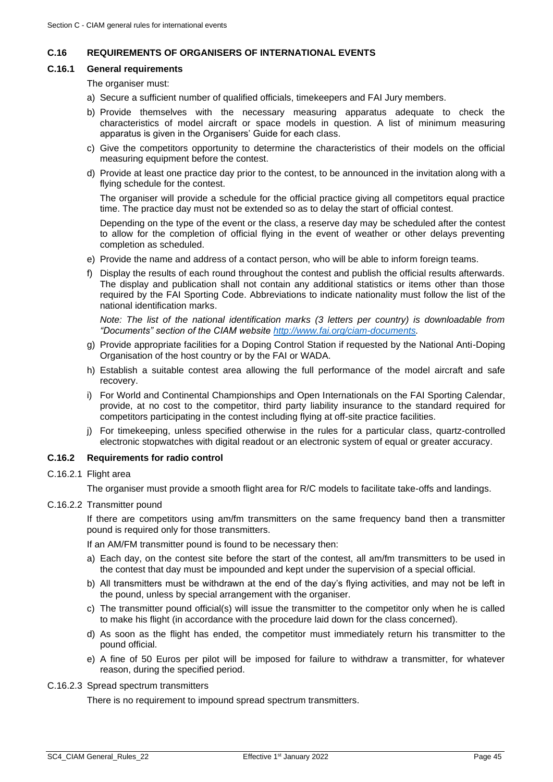## <span id="page-44-0"></span>**C.16 REQUIREMENTS OF ORGANISERS OF INTERNATIONAL EVENTS**

#### **C.16.1 General requirements**

The organiser must:

- a) Secure a sufficient number of qualified officials, timekeepers and FAI Jury members.
- b) Provide themselves with the necessary measuring apparatus adequate to check the characteristics of model aircraft or space models in question. A list of minimum measuring apparatus is given in the Organisers' Guide for each class.
- c) Give the competitors opportunity to determine the characteristics of their models on the official measuring equipment before the contest.
- d) Provide at least one practice day prior to the contest, to be announced in the invitation along with a flying schedule for the contest.

The organiser will provide a schedule for the official practice giving all competitors equal practice time. The practice day must not be extended so as to delay the start of official contest.

Depending on the type of the event or the class, a reserve day may be scheduled after the contest to allow for the completion of official flying in the event of weather or other delays preventing completion as scheduled.

- e) Provide the name and address of a contact person, who will be able to inform foreign teams.
- f) Display the results of each round throughout the contest and publish the official results afterwards. The display and publication shall not contain any additional statistics or items other than those required by the FAI Sporting Code. Abbreviations to indicate nationality must follow the list of the national identification marks.

*Note: The list of the national identification marks (3 letters per country) is downloadable from "Documents" section of the CIAM website [http://www.fai.org/ciam-documents.](http://www.fai.org/ciam-documents)*

- g) Provide appropriate facilities for a Doping Control Station if requested by the National Anti-Doping Organisation of the host country or by the FAI or WADA.
- h) Establish a suitable contest area allowing the full performance of the model aircraft and safe recovery.
- i) For World and Continental Championships and Open Internationals on the FAI Sporting Calendar, provide, at no cost to the competitor, third party liability insurance to the standard required for competitors participating in the contest including flying at off-site practice facilities.
- j) For timekeeping, unless specified otherwise in the rules for a particular class, quartz-controlled electronic stopwatches with digital readout or an electronic system of equal or greater accuracy.

## **C.16.2 Requirements for radio control**

C.16.2.1 Flight area

The organiser must provide a smooth flight area for R/C models to facilitate take-offs and landings.

C.16.2.2 Transmitter pound

If there are competitors using am/fm transmitters on the same frequency band then a transmitter pound is required only for those transmitters.

If an AM/FM transmitter pound is found to be necessary then:

- a) Each day, on the contest site before the start of the contest, all am/fm transmitters to be used in the contest that day must be impounded and kept under the supervision of a special official.
- b) All transmitters must be withdrawn at the end of the day's flying activities, and may not be left in the pound, unless by special arrangement with the organiser.
- c) The transmitter pound official(s) will issue the transmitter to the competitor only when he is called to make his flight (in accordance with the procedure laid down for the class concerned).
- d) As soon as the flight has ended, the competitor must immediately return his transmitter to the pound official.
- e) A fine of 50 Euros per pilot will be imposed for failure to withdraw a transmitter, for whatever reason, during the specified period.
- C.16.2.3 Spread spectrum transmitters

There is no requirement to impound spread spectrum transmitters.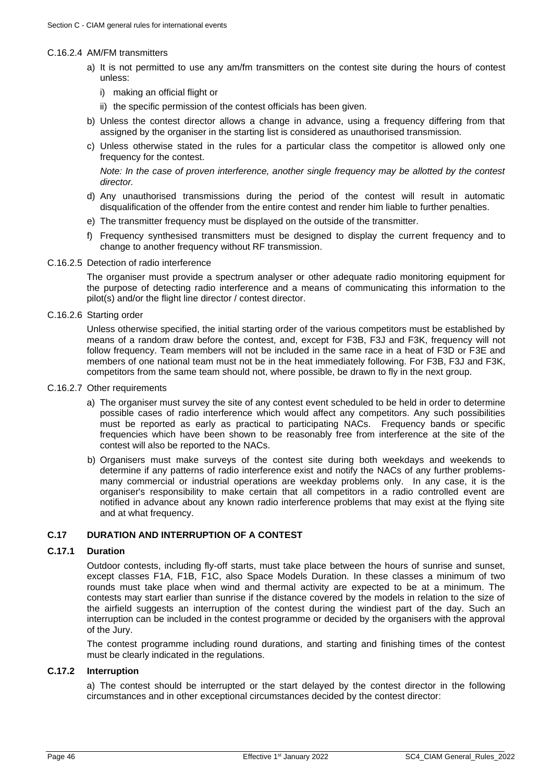#### C.16.2.4 AM/FM transmitters

- a) It is not permitted to use any am/fm transmitters on the contest site during the hours of contest unless:
	- i) making an official flight or
	- ii) the specific permission of the contest officials has been given.
- b) Unless the contest director allows a change in advance, using a frequency differing from that assigned by the organiser in the starting list is considered as unauthorised transmission.
- c) Unless otherwise stated in the rules for a particular class the competitor is allowed only one frequency for the contest.

*Note: In the case of proven interference, another single frequency may be allotted by the contest director.*

- d) Any unauthorised transmissions during the period of the contest will result in automatic disqualification of the offender from the entire contest and render him liable to further penalties.
- e) The transmitter frequency must be displayed on the outside of the transmitter.
- f) Frequency synthesised transmitters must be designed to display the current frequency and to change to another frequency without RF transmission.
- C.16.2.5 Detection of radio interference

The organiser must provide a spectrum analyser or other adequate radio monitoring equipment for the purpose of detecting radio interference and a means of communicating this information to the pilot(s) and/or the flight line director / contest director.

#### C.16.2.6 Starting order

Unless otherwise specified, the initial starting order of the various competitors must be established by means of a random draw before the contest, and, except for F3B, F3J and F3K, frequency will not follow frequency. Team members will not be included in the same race in a heat of F3D or F3E and members of one national team must not be in the heat immediately following. For F3B, F3J and F3K, competitors from the same team should not, where possible, be drawn to fly in the next group.

- C.16.2.7 Other requirements
	- a) The organiser must survey the site of any contest event scheduled to be held in order to determine possible cases of radio interference which would affect any competitors. Any such possibilities must be reported as early as practical to participating NACs. Frequency bands or specific frequencies which have been shown to be reasonably free from interference at the site of the contest will also be reported to the NACs.
	- b) Organisers must make surveys of the contest site during both weekdays and weekends to determine if any patterns of radio interference exist and notify the NACs of any further problemsmany commercial or industrial operations are weekday problems only. In any case, it is the organiser's responsibility to make certain that all competitors in a radio controlled event are notified in advance about any known radio interference problems that may exist at the flying site and at what frequency.

## <span id="page-45-0"></span>**C.17 DURATION AND INTERRUPTION OF A CONTEST**

### <span id="page-45-1"></span>**C.17.1 Duration**

Outdoor contests, including fly-off starts, must take place between the hours of sunrise and sunset, except classes F1A, F1B, F1C, also Space Models Duration. In these classes a minimum of two rounds must take place when wind and thermal activity are expected to be at a minimum. The contests may start earlier than sunrise if the distance covered by the models in relation to the size of the airfield suggests an interruption of the contest during the windiest part of the day. Such an interruption can be included in the contest programme or decided by the organisers with the approval of the Jury.

The contest programme including round durations, and starting and finishing times of the contest must be clearly indicated in the regulations.

## **C.17.2 Interruption**

a) The contest should be interrupted or the start delayed by the contest director in the following circumstances and in other exceptional circumstances decided by the contest director: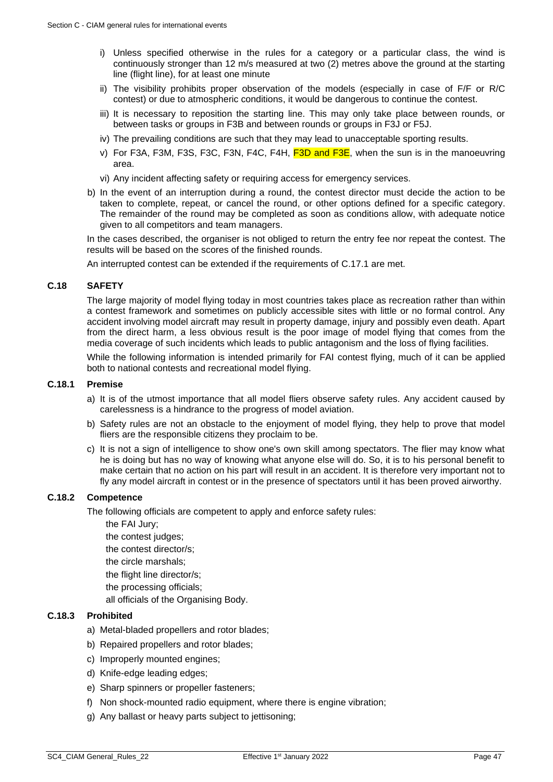- i) Unless specified otherwise in the rules for a category or a particular class, the wind is continuously stronger than 12 m/s measured at two (2) metres above the ground at the starting line (flight line), for at least one minute
- ii) The visibility prohibits proper observation of the models (especially in case of F/F or R/C contest) or due to atmospheric conditions, it would be dangerous to continue the contest.
- iii) It is necessary to reposition the starting line. This may only take place between rounds, or between tasks or groups in F3B and between rounds or groups in F3J or F5J.
- iv) The prevailing conditions are such that they may lead to unacceptable sporting results.
- v) For F3A, F3M, F3S, F3C, F3N, F4C, F4H,  $F3D$  and  $F3E$ , when the sun is in the manoeuvring area.
- vi) Any incident affecting safety or requiring access for emergency services.
- b) In the event of an interruption during a round, the contest director must decide the action to be taken to complete, repeat, or cancel the round, or other options defined for a specific category. The remainder of the round may be completed as soon as conditions allow, with adequate notice given to all competitors and team managers.

In the cases described, the organiser is not obliged to return the entry fee nor repeat the contest. The results will be based on the scores of the finished rounds.

An interrupted contest can be extended if the requirements of [C.17.1](#page-45-1) are met.

## <span id="page-46-0"></span>**C.18 SAFETY**

The large majority of model flying today in most countries takes place as recreation rather than within a contest framework and sometimes on publicly accessible sites with little or no formal control. Any accident involving model aircraft may result in property damage, injury and possibly even death. Apart from the direct harm, a less obvious result is the poor image of model flying that comes from the media coverage of such incidents which leads to public antagonism and the loss of flying facilities.

While the following information is intended primarily for FAI contest flying, much of it can be applied both to national contests and recreational model flying.

#### **C.18.1 Premise**

- a) It is of the utmost importance that all model fliers observe safety rules. Any accident caused by carelessness is a hindrance to the progress of model aviation.
- b) Safety rules are not an obstacle to the enjoyment of model flying, they help to prove that model fliers are the responsible citizens they proclaim to be.
- c) It is not a sign of intelligence to show one's own skill among spectators. The flier may know what he is doing but has no way of knowing what anyone else will do. So, it is to his personal benefit to make certain that no action on his part will result in an accident. It is therefore very important not to fly any model aircraft in contest or in the presence of spectators until it has been proved airworthy.

## **C.18.2 Competence**

The following officials are competent to apply and enforce safety rules:

- the FAI Jury;
- the contest judges;
- the contest director/s;
- the circle marshals;
- the flight line director/s;
- the processing officials;
- all officials of the Organising Body.

#### **C.18.3 Prohibited**

- a) Metal-bladed propellers and rotor blades;
- b) Repaired propellers and rotor blades;
- c) Improperly mounted engines;
- d) Knife-edge leading edges;
- e) Sharp spinners or propeller fasteners;
- f) Non shock-mounted radio equipment, where there is engine vibration;
- g) Any ballast or heavy parts subject to jettisoning;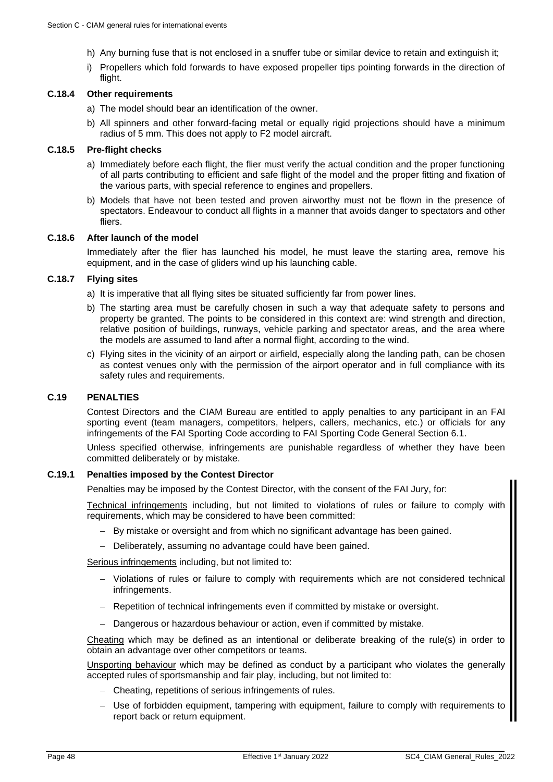- h) Any burning fuse that is not enclosed in a snuffer tube or similar device to retain and extinguish it;
- i) Propellers which fold forwards to have exposed propeller tips pointing forwards in the direction of flight.

### **C.18.4 Other requirements**

- a) The model should bear an identification of the owner.
- b) All spinners and other forward-facing metal or equally rigid projections should have a minimum radius of 5 mm. This does not apply to F2 model aircraft.

## **C.18.5 Pre-flight checks**

- a) Immediately before each flight, the flier must verify the actual condition and the proper functioning of all parts contributing to efficient and safe flight of the model and the proper fitting and fixation of the various parts, with special reference to engines and propellers.
- b) Models that have not been tested and proven airworthy must not be flown in the presence of spectators. Endeavour to conduct all flights in a manner that avoids danger to spectators and other fliers.

#### **C.18.6 After launch of the model**

Immediately after the flier has launched his model, he must leave the starting area, remove his equipment, and in the case of gliders wind up his launching cable.

## **C.18.7 Flying sites**

a) It is imperative that all flying sites be situated sufficiently far from power lines.

- b) The starting area must be carefully chosen in such a way that adequate safety to persons and property be granted. The points to be considered in this context are: wind strength and direction, relative position of buildings, runways, vehicle parking and spectator areas, and the area where the models are assumed to land after a normal flight, according to the wind.
- c) Flying sites in the vicinity of an airport or airfield, especially along the landing path, can be chosen as contest venues only with the permission of the airport operator and in full compliance with its safety rules and requirements.

## <span id="page-47-0"></span>**C.19 PENALTIES**

Contest Directors and the CIAM Bureau are entitled to apply penalties to any participant in an FAI sporting event (team managers, competitors, helpers, callers, mechanics, etc.) or officials for any infringements of the FAI Sporting Code according to FAI Sporting Code General Section 6.1.

Unless specified otherwise, infringements are punishable regardless of whether they have been committed deliberately or by mistake.

#### **C.19.1 Penalties imposed by the Contest Director**

Penalties may be imposed by the Contest Director, with the consent of the FAI Jury, for:

Technical infringements including, but not limited to violations of rules or failure to comply with requirements, which may be considered to have been committed:

- − By mistake or oversight and from which no significant advantage has been gained.
- − Deliberately, assuming no advantage could have been gained.

Serious infringements including, but not limited to:

- − Violations of rules or failure to comply with requirements which are not considered technical infringements.
- − Repetition of technical infringements even if committed by mistake or oversight.
- − Dangerous or hazardous behaviour or action, even if committed by mistake.

Cheating which may be defined as an intentional or deliberate breaking of the rule(s) in order to obtain an advantage over other competitors or teams.

Unsporting behaviour which may be defined as conduct by a participant who violates the generally accepted rules of sportsmanship and fair play, including, but not limited to:

- − Cheating, repetitions of serious infringements of rules.
- − Use of forbidden equipment, tampering with equipment, failure to comply with requirements to report back or return equipment.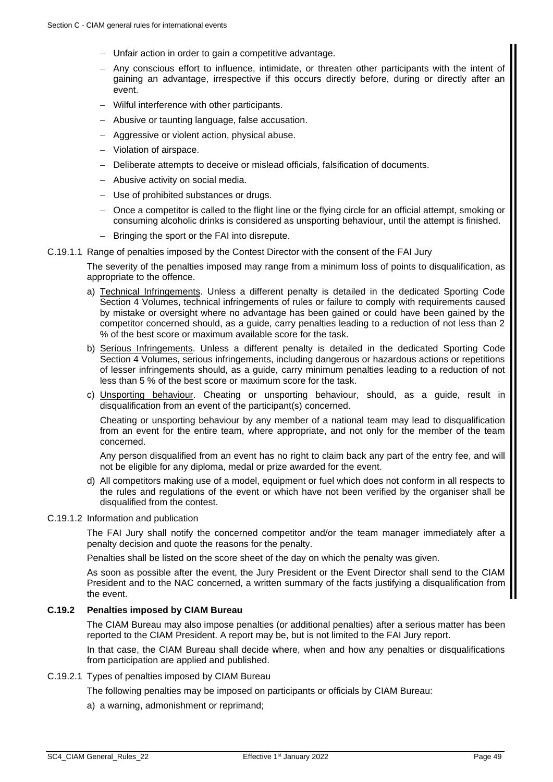- − Unfair action in order to gain a competitive advantage.
- − Any conscious effort to influence, intimidate, or threaten other participants with the intent of gaining an advantage, irrespective if this occurs directly before, during or directly after an event.
- − Wilful interference with other participants.
- − Abusive or taunting language, false accusation.
- − Aggressive or violent action, physical abuse.
- − Violation of airspace.
- − Deliberate attempts to deceive or mislead officials, falsification of documents.
- − Abusive activity on social media.
- − Use of prohibited substances or drugs.
- − Once a competitor is called to the flight line or the flying circle for an official attempt, smoking or consuming alcoholic drinks is considered as unsporting behaviour, until the attempt is finished.
- − Bringing the sport or the FAI into disrepute.

#### C.19.1.1 Range of penalties imposed by the Contest Director with the consent of the FAI Jury

The severity of the penalties imposed may range from a minimum loss of points to disqualification, as appropriate to the offence.

- a) Technical Infringements. Unless a different penalty is detailed in the dedicated Sporting Code Section 4 Volumes, technical infringements of rules or failure to comply with requirements caused by mistake or oversight where no advantage has been gained or could have been gained by the competitor concerned should, as a guide, carry penalties leading to a reduction of not less than 2 % of the best score or maximum available score for the task.
- b) Serious Infringements. Unless a different penalty is detailed in the dedicated Sporting Code Section 4 Volumes, serious infringements, including dangerous or hazardous actions or repetitions of lesser infringements should, as a guide, carry minimum penalties leading to a reduction of not less than 5 % of the best score or maximum score for the task.
- c) Unsporting behaviour. Cheating or unsporting behaviour, should, as a guide, result in disqualification from an event of the participant(s) concerned.

Cheating or unsporting behaviour by any member of a national team may lead to disqualification from an event for the entire team, where appropriate, and not only for the member of the team concerned.

Any person disqualified from an event has no right to claim back any part of the entry fee, and will not be eligible for any diploma, medal or prize awarded for the event.

d) All competitors making use of a model, equipment or fuel which does not conform in all respects to the rules and regulations of the event or which have not been verified by the organiser shall be disqualified from the contest.

#### C.19.1.2 Information and publication

The FAI Jury shall notify the concerned competitor and/or the team manager immediately after a penalty decision and quote the reasons for the penalty.

Penalties shall be listed on the score sheet of the day on which the penalty was given.

As soon as possible after the event, the Jury President or the Event Director shall send to the CIAM President and to the NAC concerned, a written summary of the facts justifying a disqualification from the event.

### **C.19.2 Penalties imposed by CIAM Bureau**

The CIAM Bureau may also impose penalties (or additional penalties) after a serious matter has been reported to the CIAM President. A report may be, but is not limited to the FAI Jury report.

In that case, the CIAM Bureau shall decide where, when and how any penalties or disqualifications from participation are applied and published.

## C.19.2.1 Types of penalties imposed by CIAM Bureau

The following penalties may be imposed on participants or officials by CIAM Bureau:

a) a warning, admonishment or reprimand;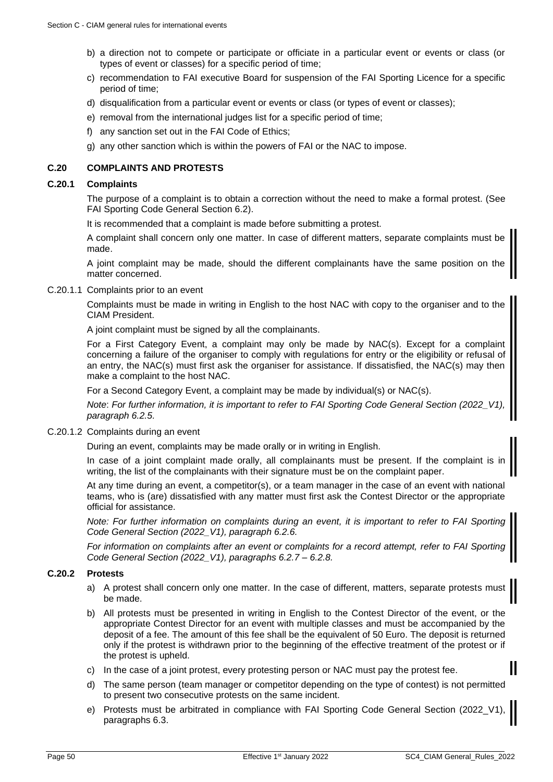- b) a direction not to compete or participate or officiate in a particular event or events or class (or types of event or classes) for a specific period of time;
- c) recommendation to FAI executive Board for suspension of the FAI Sporting Licence for a specific period of time;
- d) disqualification from a particular event or events or class (or types of event or classes);
- e) removal from the international judges list for a specific period of time;
- f) any sanction set out in the FAI Code of Ethics;
- g) any other sanction which is within the powers of FAI or the NAC to impose.

## <span id="page-49-0"></span>**C.20 COMPLAINTS AND PROTESTS**

#### **C.20.1 Complaints**

The purpose of a complaint is to obtain a correction without the need to make a formal protest. (See FAI Sporting Code General Section 6.2).

It is recommended that a complaint is made before submitting a protest.

A complaint shall concern only one matter. In case of different matters, separate complaints must be made.

A joint complaint may be made, should the different complainants have the same position on the matter concerned.

C.20.1.1 Complaints prior to an event

Complaints must be made in writing in English to the host NAC with copy to the organiser and to the CIAM President.

A joint complaint must be signed by all the complainants.

For a First Category Event, a complaint may only be made by NAC(s). Except for a complaint concerning a failure of the organiser to comply with regulations for entry or the eligibility or refusal of an entry, the NAC(s) must first ask the organiser for assistance. If dissatisfied, the NAC(s) may then make a complaint to the host NAC.

For a Second Category Event, a complaint may be made by individual(s) or NAC(s).

*Note: For further information, it is important to refer to FAI Sporting Code General Section (2022\_ paragraph 6.2.5.*

C.20.1.2 Complaints during an event

During an event, complaints may be made orally or in writing in English.

In case of a joint complaint made orally, all complainants must be present. If the complaint is in writing, the list of the complainants with their signature must be on the complaint paper.

At any time during an event, a competitor(s), or a team manager in the case of an event with national teams, who is (are) dissatisfied with any matter must first ask the Contest Director or the appropriate official for assistance.

*Note: For further information on complaints during an event, it is important to refer to FAI Sporting Code General Section (2022\_V1), paragraph 6.2.6.*

*For information on complaints after an event or complaints for a record attempt, refer to FAI Sporting Code General Section (2022\_V1), paragraphs 6.2.7 – 6.2.8.*

## **C.20.2 Protests**

- a) A protest shall concern only one matter. In the case of different, matters, separate protests must be made.
- b) All protests must be presented in writing in English to the Contest Director of the event, or the appropriate Contest Director for an event with multiple classes and must be accompanied by the deposit of a fee. The amount of this fee shall be the equivalent of 50 Euro. The deposit is returned only if the protest is withdrawn prior to the beginning of the effective treatment of the protest or if the protest is upheld.
- c) In the case of a joint protest, every protesting person or NAC must pay the protest fee.
- d) The same person (team manager or competitor depending on the type of contest) is not permitted to present two consecutive protests on the same incident.
- e) Protests must be arbitrated in compliance with FAI Sporting Code General Section (2022 paragraphs 6.3.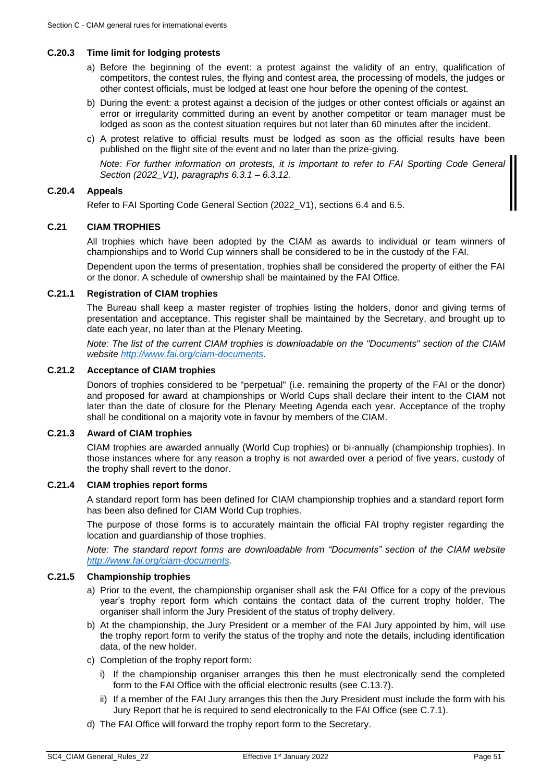### **C.20.3 Time limit for lodging protests**

- a) Before the beginning of the event: a protest against the validity of an entry, qualification of competitors, the contest rules, the flying and contest area, the processing of models, the judges or other contest officials, must be lodged at least one hour before the opening of the contest.
- b) During the event: a protest against a decision of the judges or other contest officials or against an error or irregularity committed during an event by another competitor or team manager must be lodged as soon as the contest situation requires but not later than 60 minutes after the incident.
- c) A protest relative to official results must be lodged as soon as the official results have been published on the flight site of the event and no later than the prize-giving.

*Note: For further information on protests, it is important to refer to FAI Sporting Code General Section (2022\_V1), paragraphs 6.3.1 – 6.3.12.*

## **C.20.4 Appeals**

Refer to FAI Sporting Code General Section (2022 V1), sections 6.4 and 6.5.

#### <span id="page-50-0"></span>**C.21 CIAM TROPHIES**

All trophies which have been adopted by the CIAM as awards to individual or team winners of championships and to World Cup winners shall be considered to be in the custody of the FAI.

Dependent upon the terms of presentation, trophies shall be considered the property of either the FAI or the donor. A schedule of ownership shall be maintained by the FAI Office.

## **C.21.1 Registration of CIAM trophies**

The Bureau shall keep a master register of trophies listing the holders, donor and giving terms of presentation and acceptance. This register shall be maintained by the Secretary, and brought up to date each year, no later than at the Plenary Meeting.

*Note: The list of the current CIAM trophies is downloadable on the "Documents" section of the CIAM website [http://www.fai.org/ciam-documents.](http://www.fai.org/ciam-documents)*

## **C.21.2 Acceptance of CIAM trophies**

Donors of trophies considered to be "perpetual" (i.e. remaining the property of the FAI or the donor) and proposed for award at championships or World Cups shall declare their intent to the CIAM not later than the date of closure for the Plenary Meeting Agenda each year. Acceptance of the trophy shall be conditional on a majority vote in favour by members of the CIAM.

## **C.21.3 Award of CIAM trophies**

CIAM trophies are awarded annually (World Cup trophies) or bi-annually (championship trophies). In those instances where for any reason a trophy is not awarded over a period of five years, custody of the trophy shall revert to the donor.

#### **C.21.4 CIAM trophies report forms**

A standard report form has been defined for CIAM championship trophies and a standard report form has been also defined for CIAM World Cup trophies.

The purpose of those forms is to accurately maintain the official FAI trophy register regarding the location and guardianship of those trophies.

*Note: The standard report forms are downloadable from "Documents" section of the CIAM website [http://www.fai.org/ciam-documents.](http://www.fai.org/ciam-documents)*

#### **C.21.5 Championship trophies**

- a) Prior to the event, the championship organiser shall ask the FAI Office for a copy of the previous year's trophy report form which contains the contact data of the current trophy holder. The organiser shall inform the Jury President of the status of trophy delivery.
- b) At the championship, the Jury President or a member of the FAI Jury appointed by him, will use the trophy report form to verify the status of the trophy and note the details, including identification data, of the new holder.
- c) Completion of the trophy report form:
	- i) If the championship organiser arranges this then he must electronically send the completed form to the FAI Office with the official electronic results (see [C.13.7\)](#page-37-0).
	- ii) If a member of the FAI Jury arranges this then the Jury President must include the form with his Jury Report that he is required to send electronically to the FAI Office (see [C.7.1\)](#page-31-3).
- d) The FAI Office will forward the trophy report form to the Secretary.